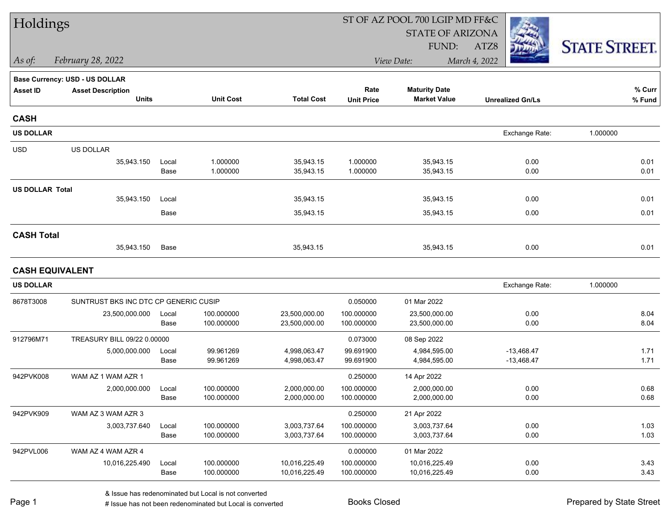| Holdings               |                                       |       |                  |                   |                   | ST OF AZ POOL 700 LGIP MD FF&C |                         |                      |  |  |
|------------------------|---------------------------------------|-------|------------------|-------------------|-------------------|--------------------------------|-------------------------|----------------------|--|--|
|                        |                                       |       |                  |                   |                   | <b>STATE OF ARIZONA</b>        |                         |                      |  |  |
|                        |                                       |       |                  |                   |                   | FUND:                          | ATZ8                    | <b>STATE STREET.</b> |  |  |
| As of:                 | February 28, 2022                     |       |                  |                   |                   | View Date:                     | March 4, 2022           |                      |  |  |
|                        | Base Currency: USD - US DOLLAR        |       |                  |                   |                   |                                |                         |                      |  |  |
| <b>Asset ID</b>        | <b>Asset Description</b>              |       |                  |                   | Rate              | <b>Maturity Date</b>           |                         | % Curr               |  |  |
|                        | <b>Units</b>                          |       | <b>Unit Cost</b> | <b>Total Cost</b> | <b>Unit Price</b> | <b>Market Value</b>            | <b>Unrealized Gn/Ls</b> | % Fund               |  |  |
| <b>CASH</b>            |                                       |       |                  |                   |                   |                                |                         |                      |  |  |
| <b>US DOLLAR</b>       |                                       |       |                  |                   |                   |                                | Exchange Rate:          | 1.000000             |  |  |
| <b>USD</b>             | US DOLLAR                             |       |                  |                   |                   |                                |                         |                      |  |  |
|                        | 35,943.150                            | Local | 1.000000         | 35,943.15         | 1.000000          | 35,943.15                      | 0.00                    | 0.01                 |  |  |
|                        |                                       | Base  | 1.000000         | 35,943.15         | 1.000000          | 35,943.15                      | 0.00                    | 0.01                 |  |  |
| <b>US DOLLAR Total</b> |                                       |       |                  |                   |                   |                                |                         |                      |  |  |
|                        | 35,943.150                            | Local |                  | 35,943.15         |                   | 35,943.15                      | 0.00                    | 0.01                 |  |  |
|                        |                                       | Base  |                  | 35,943.15         |                   | 35,943.15                      | 0.00                    | 0.01                 |  |  |
| <b>CASH Total</b>      |                                       |       |                  |                   |                   |                                |                         |                      |  |  |
|                        | 35,943.150                            | Base  |                  | 35,943.15         |                   | 35,943.15                      | 0.00                    | 0.01                 |  |  |
| <b>CASH EQUIVALENT</b> |                                       |       |                  |                   |                   |                                |                         |                      |  |  |
| <b>US DOLLAR</b>       |                                       |       |                  |                   |                   |                                | Exchange Rate:          | 1.000000             |  |  |
| 8678T3008              | SUNTRUST BKS INC DTC CP GENERIC CUSIP |       |                  |                   | 0.050000          | 01 Mar 2022                    |                         |                      |  |  |
|                        | 23,500,000.000                        | Local | 100.000000       | 23,500,000.00     | 100.000000        | 23,500,000.00                  | 0.00                    | 8.04                 |  |  |
|                        |                                       | Base  | 100.000000       | 23,500,000.00     | 100.000000        | 23,500,000.00                  | 0.00                    | 8.04                 |  |  |
| 912796M71              | TREASURY BILL 09/22 0.00000           |       |                  |                   | 0.073000          | 08 Sep 2022                    |                         |                      |  |  |
|                        | 5,000,000.000                         | Local | 99.961269        | 4,998,063.47      | 99.691900         | 4,984,595.00                   | $-13,468.47$            | 1.71                 |  |  |
|                        |                                       | Base  | 99.961269        | 4,998,063.47      | 99.691900         | 4,984,595.00                   | $-13,468.47$            | 1.71                 |  |  |
| 942PVK008              | WAM AZ 1 WAM AZR 1                    |       |                  |                   | 0.250000          | 14 Apr 2022                    |                         |                      |  |  |
|                        | 2,000,000.000                         | Local | 100.000000       | 2,000,000.00      | 100.000000        | 2,000,000.00                   | 0.00                    | 0.68                 |  |  |
|                        |                                       | Base  | 100.000000       | 2,000,000.00      | 100.000000        | 2,000,000.00                   | 0.00                    | 0.68                 |  |  |
| 942PVK909              | WAM AZ 3 WAM AZR 3                    |       |                  |                   | 0.250000          | 21 Apr 2022                    |                         |                      |  |  |
|                        | 3,003,737.640                         | Local | 100.000000       | 3,003,737.64      | 100.000000        | 3,003,737.64                   | 0.00                    | 1.03                 |  |  |
|                        |                                       | Base  | 100.000000       | 3,003,737.64      | 100.000000        | 3,003,737.64                   | 0.00                    | 1.03                 |  |  |
| 942PVL006              | WAM AZ 4 WAM AZR 4                    |       |                  |                   | 0.000000          | 01 Mar 2022                    |                         |                      |  |  |
|                        | 10,016,225.490                        | Local | 100.000000       | 10,016,225.49     | 100.000000        | 10,016,225.49                  | 0.00                    | 3.43                 |  |  |
|                        |                                       | Base  | 100.000000       | 10,016,225.49     | 100.000000        | 10,016,225.49                  | 0.00                    | 3.43                 |  |  |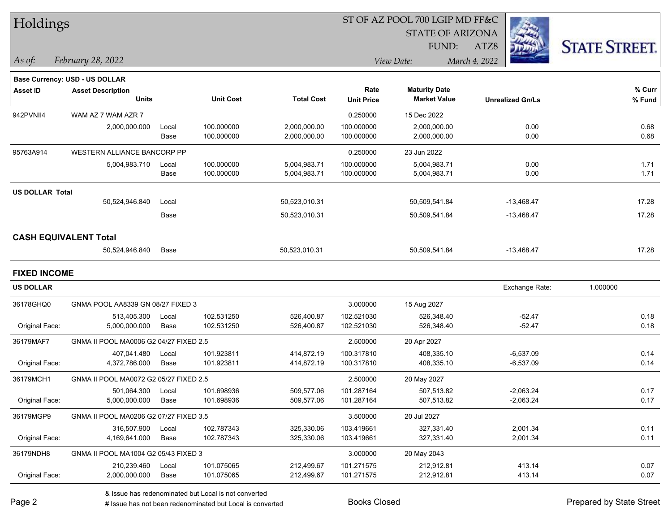| Holdings        |                                       |                  |                   |                   | ST OF AZ POOL 700 LGIP MD FF&C<br><b>STATE OF ARIZONA</b> |               |
|-----------------|---------------------------------------|------------------|-------------------|-------------------|-----------------------------------------------------------|---------------|
|                 |                                       |                  |                   |                   | FUND:                                                     | ATZ8          |
| As of:          | February 28, 2022                     |                  |                   |                   | View Date:                                                | March 4, 2022 |
|                 | <b>Base Currency: USD - US DOLLAR</b> |                  |                   |                   |                                                           |               |
| <b>Asset ID</b> | <b>Asset Description</b>              |                  |                   | Rate              | <b>Maturity Date</b>                                      |               |
|                 | <b>Units</b>                          | <b>Unit Cost</b> | <b>Total Cost</b> | <b>Unit Price</b> | <b>Market Value</b>                                       | Unr           |
| 942PVNII4       | WAM AZ 7 WAM AZR 7                    |                  |                   | 0.250000          | 15 Dec 2022                                               |               |
|                 | 2.000.000.000<br>ncal                 | 100 000000       | 2,000,000,00      | 100 000000        | 2,000,000,00                                              |               |

#### ST OF AZ POOL 700 LGIP MD FF&C



| View Date: | March - |
|------------|---------|
|            |         |

|                        | <b>Base Currency: USD - US DOLLAR</b> |       |                  |                   |                   |                      |                         |          |
|------------------------|---------------------------------------|-------|------------------|-------------------|-------------------|----------------------|-------------------------|----------|
| Asset ID               | <b>Asset Description</b>              |       |                  |                   | Rate              | <b>Maturity Date</b> |                         | $%$ Curr |
|                        | <b>Units</b>                          |       | <b>Unit Cost</b> | <b>Total Cost</b> | <b>Unit Price</b> | <b>Market Value</b>  | <b>Unrealized Gn/Ls</b> | % Fund   |
| 942PVNII4              | WAM AZ 7 WAM AZR 7                    |       |                  |                   | 0.250000          | 15 Dec 2022          |                         |          |
|                        | 2,000,000.000                         | Local | 100.000000       | 2,000,000.00      | 100.000000        | 2,000,000.00         | 0.00                    | 0.68     |
|                        |                                       | Base  | 100.000000       | 2,000,000.00      | 100.000000        | 2,000,000.00         | 0.00                    | 0.68     |
| 95763A914              | WESTERN ALLIANCE BANCORP PP           |       |                  |                   | 0.250000          | 23 Jun 2022          |                         |          |
|                        | 5,004,983.710                         | Local | 100.000000       | 5,004,983.71      | 100.000000        | 5,004,983.71         | 0.00                    | 1.71     |
|                        |                                       | Base  | 100.000000       | 5,004,983.71      | 100.000000        | 5,004,983.71         | 0.00                    | 1.71     |
| <b>US DOLLAR Total</b> |                                       |       |                  |                   |                   |                      |                         |          |
|                        | 50,524,946.840                        | Local |                  | 50,523,010.31     |                   | 50,509,541.84        | $-13,468.47$            | 17.28    |
|                        |                                       | Base  |                  | 50,523,010.31     |                   | 50,509,541.84        | $-13,468.47$            | 17.28    |
|                        | <b>CASH EQUIVALENT Total</b>          |       |                  |                   |                   |                      |                         |          |
|                        | 50,524,946.840                        | Base  |                  | 50,523,010.31     |                   | 50,509,541.84        | $-13,468.47$            | 17.28    |
|                        |                                       |       |                  |                   |                   |                      |                         |          |

**FIXED INCOME**

| <b>US DOLLAR</b> |                                        |       |            |            |             |             | Exchange Rate: | 1.000000 |
|------------------|----------------------------------------|-------|------------|------------|-------------|-------------|----------------|----------|
| 36178GHQ0        | GNMA POOL AA8339 GN 08/27 FIXED 3      |       |            |            | 3.000000    | 15 Aug 2027 |                |          |
|                  | 513,405.300                            | Local | 102.531250 | 526,400.87 | 102.521030  | 526,348.40  | $-52.47$       | 0.18     |
| Original Face:   | 5,000,000.000                          | Base  | 102.531250 | 526,400.87 | 102.521030  | 526,348.40  | $-52.47$       | 0.18     |
| 36179MAF7        | GNMA II POOL MA0006 G2 04/27 FIXED 2.5 |       |            |            | 2.500000    | 20 Apr 2027 |                |          |
|                  | 407,041.480                            | Local | 101.923811 | 414,872.19 | 100.317810  | 408,335.10  | $-6,537.09$    | 0.14     |
| Original Face:   | 4,372,786.000                          | Base  | 101.923811 | 414,872.19 | 100.317810  | 408,335.10  | $-6,537.09$    | 0.14     |
| 36179MCH1        | GNMA II POOL MA0072 G2 05/27 FIXED 2.5 |       |            | 2.500000   | 20 May 2027 |             |                |          |
|                  | 501,064.300                            | Local | 101.698936 | 509,577.06 | 101.287164  | 507,513.82  | $-2,063.24$    | 0.17     |
| Original Face:   | 5,000,000.000                          | Base  | 101.698936 | 509,577.06 | 101.287164  | 507,513.82  | $-2,063.24$    | 0.17     |
| 36179MGP9        | GNMA II POOL MA0206 G2 07/27 FIXED 3.5 |       |            |            | 3.500000    | 20 Jul 2027 |                |          |
|                  | 316,507.900                            | Local | 102.787343 | 325,330.06 | 103.419661  | 327,331.40  | 2,001.34       | 0.11     |
| Original Face:   | 4,169,641.000                          | Base  | 102.787343 | 325,330.06 | 103.419661  | 327,331.40  | 2,001.34       | 0.11     |
| 36179NDH8        | GNMA II POOL MA1004 G2 05/43 FIXED 3   |       |            |            | 3.000000    | 20 May 2043 |                |          |
|                  | 210.239.460                            | Local | 101.075065 | 212,499.67 | 101.271575  | 212,912.81  | 413.14         | 0.07     |
| Original Face:   | 2,000,000.000                          | Base  | 101.075065 | 212,499.67 | 101.271575  | 212,912.81  | 413.14         | 0.07     |

& Issue has redenominated but Local is not converted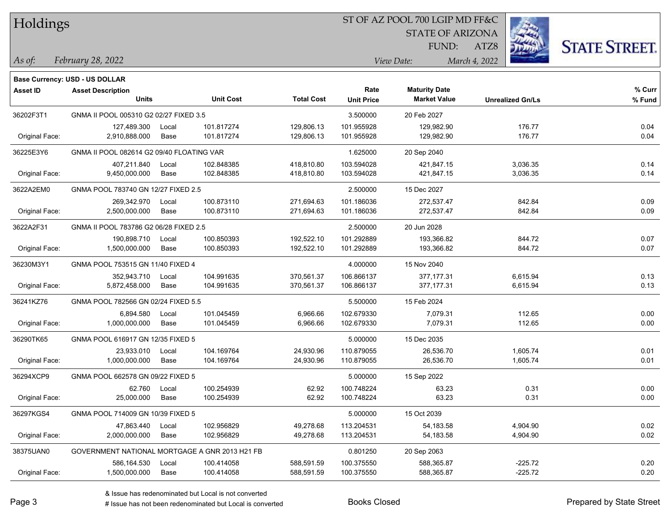| Holdings |
|----------|
|          |

#### ST OF AZ POOL 700 LGIP MD FF&C

STATE OF ARIZONA

FUND:

ATZ8



#### *February 28, 2022 As of: View Date: March 4, 2022*

|                 | Base Currency: USD - US DOLLAR                 |               |                          |                          |                           |                                             |                         |                  |
|-----------------|------------------------------------------------|---------------|--------------------------|--------------------------|---------------------------|---------------------------------------------|-------------------------|------------------|
| <b>Asset ID</b> | <b>Asset Description</b><br><b>Units</b>       |               | <b>Unit Cost</b>         | <b>Total Cost</b>        | Rate<br><b>Unit Price</b> | <b>Maturity Date</b><br><b>Market Value</b> | <b>Unrealized Gn/Ls</b> | % Curr<br>% Fund |
| 36202F3T1       | GNMA II POOL 005310 G2 02/27 FIXED 3.5         |               |                          |                          | 3.500000                  | 20 Feb 2027                                 |                         |                  |
| Original Face:  | 127,489.300<br>2,910,888.000                   | Local<br>Base | 101.817274<br>101.817274 | 129,806.13<br>129,806.13 | 101.955928<br>101.955928  | 129,982.90<br>129,982.90                    | 176.77<br>176.77        | 0.04<br>0.04     |
| 36225E3Y6       | GNMA II POOL 082614 G2 09/40 FLOATING VAR      |               |                          |                          | 1.625000                  | 20 Sep 2040                                 |                         |                  |
| Original Face:  | 407,211.840<br>9,450,000.000                   | Local<br>Base | 102.848385<br>102.848385 | 418,810.80<br>418,810.80 | 103.594028<br>103.594028  | 421,847.15<br>421,847.15                    | 3,036.35<br>3.036.35    | 0.14<br>0.14     |
| 3622A2EM0       | GNMA POOL 783740 GN 12/27 FIXED 2.5            |               |                          |                          | 2.500000                  | 15 Dec 2027                                 |                         |                  |
| Original Face:  | 269,342.970<br>2,500,000.000                   | Local<br>Base | 100.873110<br>100.873110 | 271,694.63<br>271,694.63 | 101.186036<br>101.186036  | 272,537.47<br>272,537.47                    | 842.84<br>842.84        | 0.09<br>0.09     |
| 3622A2F31       | GNMA II POOL 783786 G2 06/28 FIXED 2.5         |               |                          |                          | 2.500000                  | 20 Jun 2028                                 |                         |                  |
| Original Face:  | 190,898.710<br>1,500,000.000                   | Local<br>Base | 100.850393<br>100.850393 | 192,522.10<br>192,522.10 | 101.292889<br>101.292889  | 193,366.82<br>193,366.82                    | 844.72<br>844.72        | 0.07<br>0.07     |
| 36230M3Y1       | GNMA POOL 753515 GN 11/40 FIXED 4              |               |                          |                          | 4.000000                  | 15 Nov 2040                                 |                         |                  |
| Original Face:  | 352,943.710<br>5,872,458.000                   | Local<br>Base | 104.991635<br>104.991635 | 370,561.37<br>370,561.37 | 106.866137<br>106.866137  | 377, 177.31<br>377, 177.31                  | 6,615.94<br>6,615.94    | 0.13<br>0.13     |
| 36241KZ76       | GNMA POOL 782566 GN 02/24 FIXED 5.5            |               |                          |                          | 5.500000                  | 15 Feb 2024                                 |                         |                  |
| Original Face:  | 6,894.580<br>1,000,000.000                     | Local<br>Base | 101.045459<br>101.045459 | 6,966.66<br>6,966.66     | 102.679330<br>102.679330  | 7,079.31<br>7,079.31                        | 112.65<br>112.65        | 0.00<br>0.00     |
| 36290TK65       | GNMA POOL 616917 GN 12/35 FIXED 5              |               |                          |                          | 5.000000                  | 15 Dec 2035                                 |                         |                  |
| Original Face:  | 23,933.010<br>1,000,000.000                    | Local<br>Base | 104.169764<br>104.169764 | 24,930.96<br>24,930.96   | 110.879055<br>110.879055  | 26,536.70<br>26,536.70                      | 1,605.74<br>1,605.74    | 0.01<br>0.01     |
| 36294XCP9       | GNMA POOL 662578 GN 09/22 FIXED 5              |               |                          |                          | 5.000000                  | 15 Sep 2022                                 |                         |                  |
| Original Face:  | 62.760<br>25,000.000                           | Local<br>Base | 100.254939<br>100.254939 | 62.92<br>62.92           | 100.748224<br>100.748224  | 63.23<br>63.23                              | 0.31<br>0.31            | 0.00<br>0.00     |
| 36297KGS4       | GNMA POOL 714009 GN 10/39 FIXED 5              |               |                          |                          | 5.000000                  | 15 Oct 2039                                 |                         |                  |
| Original Face:  | 47,863.440<br>2,000,000.000                    | Local<br>Base | 102.956829<br>102.956829 | 49,278.68<br>49,278.68   | 113.204531<br>113.204531  | 54,183.58<br>54,183.58                      | 4,904.90<br>4,904.90    | 0.02<br>0.02     |
| 38375UAN0       | GOVERNMENT NATIONAL MORTGAGE A GNR 2013 H21 FB |               |                          |                          | 0.801250                  | 20 Sep 2063                                 |                         |                  |
| Original Face:  | 586,164.530<br>1,500,000.000                   | Local<br>Base | 100.414058<br>100.414058 | 588.591.59<br>588,591.59 | 100.375550<br>100.375550  | 588,365.87<br>588,365.87                    | -225.72<br>$-225.72$    | 0.20<br>0.20     |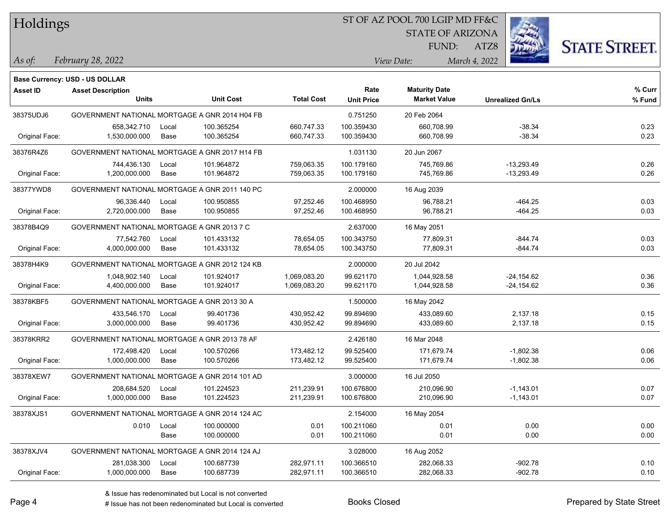|  |  | Holdings |
|--|--|----------|
|--|--|----------|

#### ST OF AZ POOL 700 LGIP MD FF&C

**Maturity Date**

STATE OF ARIZONA

ATZ8



**% Curr**

*February 28, 2022 As of: View Date: March 4, 2022*

**Base Currency: USD - US DOLLAR**

FUND:

|                | <b>Units</b>                                   | <b>Unit Cost</b>                               | <b>Total Cost</b> | <b>Unit Price</b>       | <b>Market Value</b> | <b>Unrealized Gn/Ls</b> | % Fund |
|----------------|------------------------------------------------|------------------------------------------------|-------------------|-------------------------|---------------------|-------------------------|--------|
| 38375UDJ6      |                                                | GOVERNMENT NATIONAL MORTGAGE A GNR 2014 H04 FB |                   | 0.751250                | 20 Feb 2064         |                         |        |
|                | 658,342.710                                    | Local<br>100.365254                            | 660,747.33        | 100.359430              | 660,708.99          | $-38.34$                | 0.23   |
| Original Face: | 1,530,000.000                                  | 100.365254<br>Base                             | 660,747.33        | 100.359430              | 660,708.99          | $-38.34$                | 0.23   |
| 38376R4Z6      |                                                | GOVERNMENT NATIONAL MORTGAGE A GNR 2017 H14 FB |                   | 1.031130                | 20 Jun 2067         |                         |        |
|                | 744,436.130                                    | 101.964872<br>Local                            | 759,063.35        | 100.179160              | 745,769.86          | $-13,293.49$            | 0.26   |
| Original Face: | 1,200,000.000                                  | Base<br>101.964872                             | 759,063.35        | 100.179160              | 745,769.86          | $-13,293.49$            | 0.26   |
| 38377YWD8      |                                                | GOVERNMENT NATIONAL MORTGAGE A GNR 2011 140 PC |                   | 2.000000                | 16 Aug 2039         |                         |        |
|                | 96,336.440                                     | 100.950855<br>Local                            | 97,252.46         | 100.468950              | 96,788.21           | $-464.25$               | 0.03   |
| Original Face: | 2,720,000.000                                  | Base<br>100.950855                             | 97,252.46         | 100.468950              | 96,788.21           | $-464.25$               | 0.03   |
| 38378B4Q9      | GOVERNMENT NATIONAL MORTGAGE A GNR 2013 7 C    |                                                |                   | 2.637000                | 16 May 2051         |                         |        |
|                | 77,542.760                                     | 101.433132<br>Local                            | 78,654.05         | 100.343750              | 77,809.31           | $-844.74$               | 0.03   |
| Original Face: | 4,000,000.000                                  | 101.433132<br>Base                             | 78,654.05         | 100.343750              | 77,809.31           | $-844.74$               | 0.03   |
| 38378H4K9      | GOVERNMENT NATIONAL MORTGAGE A GNR 2012 124 KB |                                                | 2.000000          | 20 Jul 2042             |                     |                         |        |
|                | 1,048,902.140                                  | 101.924017<br>Local                            | 1,069,083.20      | 99.621170               | 1,044,928.58        | $-24, 154.62$           | 0.36   |
| Original Face: | 4,400,000.000                                  | 101.924017<br>Base                             | 1,069,083.20      | 99.621170               | 1,044,928.58        | $-24,154.62$            | 0.36   |
| 38378KBF5      | GOVERNMENT NATIONAL MORTGAGE A GNR 2013 30 A   |                                                |                   | 1.500000<br>16 May 2042 |                     |                         |        |
|                | 433,546.170                                    | 99.401736<br>Local                             | 430,952.42        | 99.894690               | 433,089.60          | 2,137.18                | 0.15   |
| Original Face: | 3,000,000.000                                  | 99.401736<br>Base                              | 430,952.42        | 99.894690               | 433,089.60          | 2,137.18                | 0.15   |
| 38378KRR2      | GOVERNMENT NATIONAL MORTGAGE A GNR 2013 78 AF  |                                                |                   | 2.426180                | 16 Mar 2048         |                         |        |
|                | 172,498.420                                    | 100.570266<br>Local                            | 173,482.12        | 99.525400               | 171,679.74          | $-1,802.38$             | 0.06   |
| Original Face: | 1,000,000.000                                  | Base<br>100.570266                             | 173,482.12        | 99.525400               | 171,679.74          | $-1,802.38$             | 0.06   |
| 38378XEW7      |                                                | GOVERNMENT NATIONAL MORTGAGE A GNR 2014 101 AD |                   | 3.000000                | 16 Jul 2050         |                         |        |
|                | 208,684.520                                    | 101.224523<br>Local                            | 211,239.91        | 100.676800              | 210,096.90          | $-1,143.01$             | 0.07   |
| Original Face: | 1,000,000.000                                  | 101.224523<br>Base                             | 211,239.91        | 100.676800              | 210,096.90          | $-1,143.01$             | 0.07   |
| 38378XJS1      |                                                | GOVERNMENT NATIONAL MORTGAGE A GNR 2014 124 AC |                   | 2.154000                | 16 May 2054         |                         |        |
|                | 0.010                                          | Local<br>100.000000                            | 0.01              | 100.211060              | 0.01                | 0.00                    | 0.00   |
|                |                                                | 100.000000<br>Base                             | 0.01              | 100.211060              | 0.01                | 0.00                    | 0.00   |
| 38378XJV4      |                                                | GOVERNMENT NATIONAL MORTGAGE A GNR 2014 124 AJ |                   | 3.028000                | 16 Aug 2052         |                         |        |
|                |                                                |                                                |                   |                         |                     |                         |        |

**Asset ID Asset Description Rate**

Original Face: 1,000,000.000 Base 100.687739 282,971.11 100.366510 282,068.33 -902.78 0.10

281,038.300 Local 100.687739 282,971.11 100.366510 282,068.33 -902.78 0.10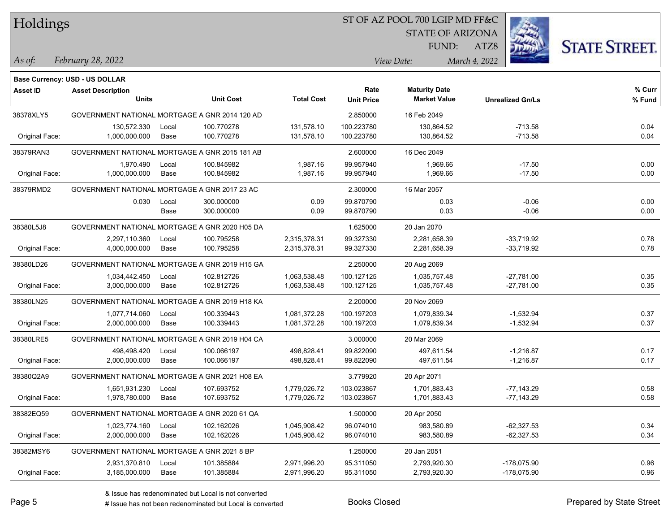Holdings

#### ST OF AZ POOL 700 LGIP MD FF&C

STATE OF ARIZONA

ATZ8

 $Unrealized Gn/Ls$ 



**% Fund**

**% Curr**

*February 28, 2022 As of: View Date: March 4, 2022*

FUND:

|                 | <b>Base Currency: USD - US DOLLAR</b>          |                  |                   |                   |                      |  |  |  |  |  |
|-----------------|------------------------------------------------|------------------|-------------------|-------------------|----------------------|--|--|--|--|--|
| <b>Asset ID</b> | <b>Asset Description</b>                       |                  |                   | Rate              | <b>Maturity Date</b> |  |  |  |  |  |
|                 | Units                                          | <b>Unit Cost</b> | <b>Total Cost</b> | <b>Unit Price</b> | <b>Market Value</b>  |  |  |  |  |  |
| 38378XLY5       | GOVERNMENT NATIONAL MORTGAGE A GNR 2014 120 AD |                  |                   | 2.850000          | 16 Feb 2049          |  |  |  |  |  |
|                 |                                                |                  |                   |                   |                      |  |  |  |  |  |

|                | 130,572.330                                    | Local | 100.770278 | 131,578.10   | 100.223780 | 130,864.52   | $-713.58$     | 0.04 |
|----------------|------------------------------------------------|-------|------------|--------------|------------|--------------|---------------|------|
| Original Face: | 1,000,000.000                                  | Base  | 100.770278 | 131,578.10   | 100.223780 | 130,864.52   | $-713.58$     | 0.04 |
| 38379RAN3      | GOVERNMENT NATIONAL MORTGAGE A GNR 2015 181 AB |       |            |              | 2.600000   | 16 Dec 2049  |               |      |
|                | 1,970.490                                      | Local | 100.845982 | 1,987.16     | 99.957940  | 1,969.66     | $-17.50$      | 0.00 |
| Original Face: | 1,000,000.000                                  | Base  | 100.845982 | 1,987.16     | 99.957940  | 1,969.66     | $-17.50$      | 0.00 |
| 38379RMD2      | GOVERNMENT NATIONAL MORTGAGE A GNR 2017 23 AC  |       |            |              | 2.300000   | 16 Mar 2057  |               |      |
|                | 0.030                                          | Local | 300.000000 | 0.09         | 99.870790  | 0.03         | $-0.06$       | 0.00 |
|                |                                                | Base  | 300.000000 | 0.09         | 99.870790  | 0.03         | $-0.06$       | 0.00 |
| 38380L5J8      | GOVERNMENT NATIONAL MORTGAGE A GNR 2020 H05 DA |       |            |              | 1.625000   | 20 Jan 2070  |               |      |
|                | 2,297,110.360                                  | Local | 100.795258 | 2,315,378.31 | 99.327330  | 2,281,658.39 | $-33,719.92$  | 0.78 |
| Original Face: | 4,000,000.000                                  | Base  | 100.795258 | 2,315,378.31 | 99.327330  | 2,281,658.39 | $-33,719.92$  | 0.78 |
| 38380LD26      | GOVERNMENT NATIONAL MORTGAGE A GNR 2019 H15 GA |       |            |              | 2.250000   | 20 Aug 2069  |               |      |
|                | 1,034,442.450                                  | Local | 102.812726 | 1,063,538.48 | 100.127125 | 1,035,757.48 | $-27,781.00$  | 0.35 |
| Original Face: | 3,000,000.000                                  | Base  | 102.812726 | 1,063,538.48 | 100.127125 | 1,035,757.48 | $-27,781.00$  | 0.35 |
| 38380LN25      | GOVERNMENT NATIONAL MORTGAGE A GNR 2019 H18 KA |       |            |              | 2.200000   | 20 Nov 2069  |               |      |
|                | 1,077,714.060                                  | Local | 100.339443 | 1,081,372.28 | 100.197203 | 1.079.839.34 | $-1,532.94$   | 0.37 |
| Original Face: | 2.000.000.000                                  | Base  | 100.339443 | 1,081,372.28 | 100.197203 | 1,079,839.34 | $-1,532.94$   | 0.37 |
| 38380LRE5      | GOVERNMENT NATIONAL MORTGAGE A GNR 2019 H04 CA |       |            |              | 3.000000   | 20 Mar 2069  |               |      |
|                | 498.498.420                                    | Local | 100.066197 | 498,828.41   | 99.822090  | 497,611.54   | $-1,216.87$   | 0.17 |
| Original Face: | 2,000,000.000                                  | Base  | 100.066197 | 498,828.41   | 99.822090  | 497,611.54   | $-1,216.87$   | 0.17 |
| 38380Q2A9      | GOVERNMENT NATIONAL MORTGAGE A GNR 2021 H08 EA |       |            |              | 3.779920   | 20 Apr 2071  |               |      |
|                | 1,651,931.230                                  | Local | 107.693752 | 1,779,026.72 | 103.023867 | 1,701,883.43 | $-77,143.29$  | 0.58 |
| Original Face: | 1,978,780.000                                  | Base  | 107.693752 | 1,779,026.72 | 103.023867 | 1,701,883.43 | $-77,143.29$  | 0.58 |
| 38382EQ59      | GOVERNMENT NATIONAL MORTGAGE A GNR 2020 61 QA  |       |            |              | 1.500000   | 20 Apr 2050  |               |      |
|                | 1,023,774.160                                  | Local | 102.162026 | 1,045,908.42 | 96.074010  | 983,580.89   | $-62,327.53$  | 0.34 |
| Original Face: | 2,000,000.000                                  | Base  | 102.162026 | 1,045,908.42 | 96.074010  | 983,580.89   | $-62,327.53$  | 0.34 |
| 38382MSY6      | GOVERNMENT NATIONAL MORTGAGE A GNR 2021 8 BP   |       |            |              | 1.250000   | 20 Jan 2051  |               |      |
|                | 2,931,370.810                                  | Local | 101.385884 | 2,971,996.20 | 95.311050  | 2,793,920.30 | $-178,075.90$ | 0.96 |
| Original Face: | 3,185,000.000                                  | Base  | 101.385884 | 2,971,996.20 | 95.311050  | 2,793,920.30 | $-178,075.90$ | 0.96 |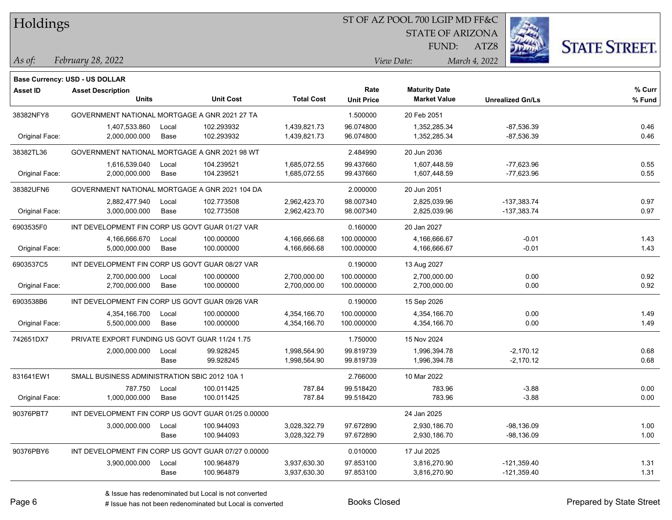Holdings

#### ST OF AZ POOL 700 LGIP MD FF&C

STATE OF ARIZONA

ATZ8



*February 28, 2022 As of: View Date: March 4, 2022*

FUND:

|                 | <b>Base Currency: USD - US DOLLAR</b>               |       |                                                     |                   |                   |                      |                         |        |
|-----------------|-----------------------------------------------------|-------|-----------------------------------------------------|-------------------|-------------------|----------------------|-------------------------|--------|
| <b>Asset ID</b> | <b>Asset Description</b>                            |       |                                                     |                   | Rate              | <b>Maturity Date</b> |                         | % Curr |
|                 | <b>Units</b>                                        |       | <b>Unit Cost</b>                                    | <b>Total Cost</b> | <b>Unit Price</b> | <b>Market Value</b>  | <b>Unrealized Gn/Ls</b> | % Fund |
| 38382NFY8       | GOVERNMENT NATIONAL MORTGAGE A GNR 2021 27 TA       |       |                                                     |                   | 1.500000          | 20 Feb 2051          |                         |        |
|                 | 1,407,533.860                                       | Local | 102.293932                                          | 1,439,821.73      | 96.074800         | 1,352,285.34         | $-87,536.39$            | 0.46   |
| Original Face:  | 2,000,000.000                                       | Base  | 102.293932                                          | 1,439,821.73      | 96.074800         | 1,352,285.34         | $-87,536.39$            | 0.46   |
| 38382TL36       | GOVERNMENT NATIONAL MORTGAGE A GNR 2021 98 WT       |       |                                                     |                   | 2.484990          | 20 Jun 2036          |                         |        |
|                 | 1,616,539.040                                       | Local | 104.239521                                          | 1,685,072.55      | 99.437660         | 1,607,448.59         | $-77,623.96$            | 0.55   |
| Original Face:  | 2,000,000.000                                       | Base  | 104.239521                                          | 1,685,072.55      | 99.437660         | 1,607,448.59         | $-77,623.96$            | 0.55   |
| 38382UFN6       | GOVERNMENT NATIONAL MORTGAGE A GNR 2021 104 DA      |       |                                                     |                   | 2.000000          | 20 Jun 2051          |                         |        |
|                 | 2,882,477.940                                       | Local | 102.773508                                          | 2,962,423.70      | 98.007340         | 2,825,039.96         | $-137,383.74$           | 0.97   |
| Original Face:  | 3,000,000.000                                       | Base  | 102.773508                                          | 2,962,423.70      | 98.007340         | 2,825,039.96         | $-137,383.74$           | 0.97   |
| 6903535F0       | INT DEVELOPMENT FIN CORP US GOVT GUAR 01/27 VAR     |       |                                                     |                   | 0.160000          | 20 Jan 2027          |                         |        |
|                 | 4,166,666.670                                       | Local | 100.000000                                          | 4,166,666.68      | 100.000000        | 4,166,666.67         | $-0.01$                 | 1.43   |
| Original Face:  | 5,000,000.000                                       | Base  | 100.000000                                          | 4,166,666.68      | 100.000000        | 4,166,666.67         | $-0.01$                 | 1.43   |
| 6903537C5       | INT DEVELOPMENT FIN CORP US GOVT GUAR 08/27 VAR     |       |                                                     |                   | 0.190000          | 13 Aug 2027          |                         |        |
|                 | 2,700,000.000                                       | Local | 100.000000                                          | 2,700,000.00      | 100.000000        | 2,700,000.00         | 0.00                    | 0.92   |
| Original Face:  | 2,700,000.000                                       | Base  | 100.000000                                          | 2,700,000.00      | 100.000000        | 2,700,000.00         | 0.00                    | 0.92   |
| 6903538B6       | INT DEVELOPMENT FIN CORP US GOVT GUAR 09/26 VAR     |       |                                                     |                   | 0.190000          | 15 Sep 2026          |                         |        |
|                 | 4,354,166.700                                       | Local | 100.000000                                          | 4,354,166.70      | 100.000000        | 4,354,166.70         | 0.00                    | 1.49   |
| Original Face:  | 5,500,000.000                                       | Base  | 100.000000                                          | 4,354,166.70      | 100.000000        | 4,354,166.70         | 0.00                    | 1.49   |
| 742651DX7       | PRIVATE EXPORT FUNDING US GOVT GUAR 11/24 1.75      |       |                                                     |                   | 1.750000          | 15 Nov 2024          |                         |        |
|                 | 2,000,000.000                                       | Local | 99.928245                                           | 1,998,564.90      | 99.819739         | 1,996,394.78         | $-2,170.12$             | 0.68   |
|                 |                                                     | Base  | 99.928245                                           | 1,998,564.90      | 99.819739         | 1,996,394.78         | $-2,170.12$             | 0.68   |
| 831641EW1       | SMALL BUSINESS ADMINISTRATION SBIC 2012 10A 1       |       |                                                     |                   | 2.766000          | 10 Mar 2022          |                         |        |
|                 | 787.750                                             | Local | 100.011425                                          | 787.84            | 99.518420         | 783.96               | $-3.88$                 | 0.00   |
| Original Face:  | 1,000,000.000                                       | Base  | 100.011425                                          | 787.84            | 99.518420         | 783.96               | $-3.88$                 | 0.00   |
| 90376PBT7       |                                                     |       | INT DEVELOPMENT FIN CORP US GOVT GUAR 01/25 0.00000 |                   |                   | 24 Jan 2025          |                         |        |
|                 | 3,000,000.000                                       | Local | 100.944093                                          | 3,028,322.79      | 97.672890         | 2,930,186.70         | -98,136.09              | 1.00   |
|                 |                                                     | Base  | 100.944093                                          | 3,028,322.79      | 97.672890         | 2,930,186.70         | $-98,136.09$            | 1.00   |
| 90376PBY6       | INT DEVELOPMENT FIN CORP US GOVT GUAR 07/27 0.00000 |       |                                                     |                   | 0.010000          | 17 Jul 2025          |                         |        |
|                 | 3,900,000.000                                       | Local | 100.964879                                          | 3,937,630.30      | 97.853100         | 3,816,270.90         | $-121,359.40$           | 1.31   |
|                 |                                                     | Base  | 100.964879                                          | 3,937,630.30      | 97.853100         | 3,816,270.90         | $-121,359.40$           | 1.31   |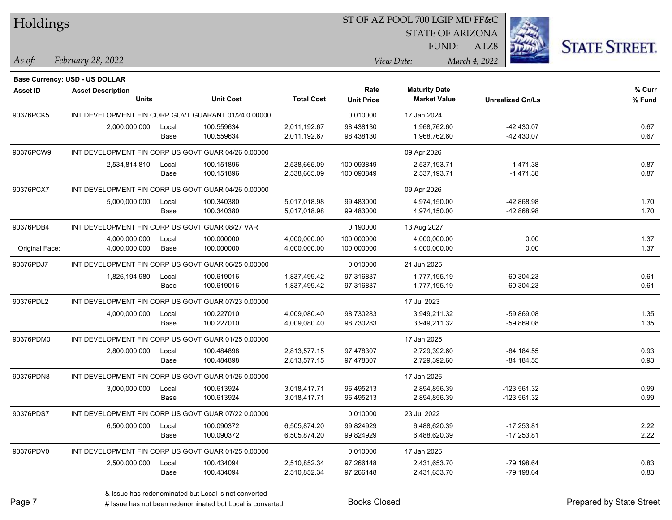| Holdings        |                                                     |       |                                                     |                   |                           | ST OF AZ POOL 700 LGIP MD FF&C              |                         |                      |  |
|-----------------|-----------------------------------------------------|-------|-----------------------------------------------------|-------------------|---------------------------|---------------------------------------------|-------------------------|----------------------|--|
|                 |                                                     |       |                                                     |                   |                           | <b>STATE OF ARIZONA</b>                     |                         |                      |  |
|                 |                                                     |       |                                                     |                   |                           | FUND:                                       | ATZ8                    | <b>STATE STREET.</b> |  |
| $\vert$ As of:  | February 28, 2022                                   |       |                                                     |                   |                           | View Date:                                  | March 4, 2022           |                      |  |
|                 |                                                     |       |                                                     |                   |                           |                                             |                         |                      |  |
|                 | Base Currency: USD - US DOLLAR                      |       |                                                     |                   |                           |                                             |                         |                      |  |
| <b>Asset ID</b> | <b>Asset Description</b><br><b>Units</b>            |       | <b>Unit Cost</b>                                    | <b>Total Cost</b> | Rate<br><b>Unit Price</b> | <b>Maturity Date</b><br><b>Market Value</b> | <b>Unrealized Gn/Ls</b> | % Curr<br>% Fund     |  |
| 90376PCK5       |                                                     |       | INT DEVELOPMENT FIN CORP GOVT GUARANT 01/24 0.00000 |                   | 0.010000                  | 17 Jan 2024                                 |                         |                      |  |
|                 | 2,000,000.000                                       | Local | 100.559634                                          | 2,011,192.67      | 98.438130                 | 1,968,762.60                                | $-42,430.07$            | 0.67                 |  |
|                 |                                                     | Base  | 100.559634                                          | 2,011,192.67      | 98.438130                 | 1,968,762.60                                | $-42,430.07$            | 0.67                 |  |
| 90376PCW9       | INT DEVELOPMENT FIN CORP US GOVT GUAR 04/26 0.00000 |       |                                                     |                   |                           | 09 Apr 2026                                 |                         |                      |  |
|                 | 2,534,814.810                                       | Local | 100.151896                                          | 2,538,665.09      | 100.093849                | 2,537,193.71                                | $-1,471.38$             | 0.87                 |  |
|                 |                                                     | Base  | 100.151896                                          | 2,538,665.09      | 100.093849                | 2,537,193.71                                | $-1,471.38$             | 0.87                 |  |
| 90376PCX7       | INT DEVELOPMENT FIN CORP US GOVT GUAR 04/26 0.00000 |       |                                                     |                   |                           | 09 Apr 2026                                 |                         |                      |  |
|                 | 5,000,000.000                                       | Local | 100.340380                                          | 5,017,018.98      | 99.483000                 | 4,974,150.00                                | -42,868.98              | 1.70                 |  |
|                 |                                                     | Base  | 100.340380                                          | 5,017,018.98      | 99.483000                 | 4,974,150.00                                | -42,868.98              | 1.70                 |  |
| 90376PDB4       | INT DEVELOPMENT FIN CORP US GOVT GUAR 08/27 VAR     |       |                                                     |                   | 0.190000                  | 13 Aug 2027                                 |                         |                      |  |
|                 | 4,000,000.000                                       | Local | 100.000000                                          | 4,000,000.00      | 100.000000                | 4,000,000.00                                | 0.00                    | 1.37                 |  |
| Original Face:  | 4,000,000.000                                       | Base  | 100.000000                                          | 4,000,000.00      | 100.000000                | 4,000,000.00                                | 0.00                    | 1.37                 |  |
| 90376PDJ7       | INT DEVELOPMENT FIN CORP US GOVT GUAR 06/25 0.00000 |       |                                                     |                   | 0.010000                  | 21 Jun 2025                                 |                         |                      |  |
|                 | 1,826,194.980                                       | Local | 100.619016                                          | 1,837,499.42      | 97.316837                 | 1,777,195.19                                | $-60,304.23$            | 0.61                 |  |
|                 |                                                     | Base  | 100.619016                                          | 1,837,499.42      | 97.316837                 | 1,777,195.19                                | $-60,304.23$            | 0.61                 |  |
| 90376PDL2       | INT DEVELOPMENT FIN CORP US GOVT GUAR 07/23 0.00000 |       |                                                     |                   |                           | 17 Jul 2023                                 |                         |                      |  |
|                 | 4,000,000.000                                       | Local | 100.227010                                          | 4,009,080.40      | 98.730283                 | 3,949,211.32                                | $-59,869.08$            | 1.35                 |  |
|                 |                                                     | Base  | 100.227010                                          | 4,009,080.40      | 98.730283                 | 3,949,211.32                                | $-59,869.08$            | 1.35                 |  |
| 90376PDM0       | INT DEVELOPMENT FIN CORP US GOVT GUAR 01/25 0.00000 |       |                                                     |                   |                           | 17 Jan 2025                                 |                         |                      |  |
|                 | 2,800,000.000                                       | Local | 100.484898                                          | 2,813,577.15      | 97.478307                 | 2,729,392.60                                | $-84, 184.55$           | 0.93                 |  |
|                 |                                                     | Base  | 100.484898                                          | 2,813,577.15      | 97.478307                 | 2,729,392.60                                | -84,184.55              | 0.93                 |  |
| 90376PDN8       | INT DEVELOPMENT FIN CORP US GOVT GUAR 01/26 0.00000 |       |                                                     |                   |                           | 17 Jan 2026                                 |                         |                      |  |
|                 | 3,000,000.000                                       | Local | 100.613924                                          | 3,018,417.71      | 96.495213                 | 2,894,856.39                                | $-123,561.32$           | 0.99                 |  |
|                 |                                                     | Base  | 100.613924                                          | 3,018,417.71      | 96.495213                 | 2,894,856.39                                | $-123,561.32$           | 0.99                 |  |
| 90376PDS7       | INT DEVELOPMENT FIN CORP US GOVT GUAR 07/22 0.00000 |       |                                                     |                   | 0.010000                  | 23 Jul 2022                                 |                         |                      |  |
|                 | 6,500,000.000                                       | Local | 100.090372                                          | 6,505,874.20      | 99.824929                 | 6,488,620.39                                | $-17,253.81$            | 2.22                 |  |
|                 |                                                     | Base  | 100.090372                                          | 6,505,874.20      | 99.824929                 | 6,488,620.39                                | $-17,253.81$            | 2.22                 |  |
| 90376PDV0       | INT DEVELOPMENT FIN CORP US GOVT GUAR 01/25 0.00000 |       |                                                     |                   | 0.010000                  | 17 Jan 2025                                 |                         |                      |  |
|                 | 2,500,000.000                                       | Local | 100.434094                                          | 2,510,852.34      | 97.266148                 | 2,431,653.70                                | $-79,198.64$            | 0.83                 |  |
|                 |                                                     | Base  | 100.434094                                          | 2,510,852.34      | 97.266148                 | 2,431,653.70                                | $-79,198.64$            | 0.83                 |  |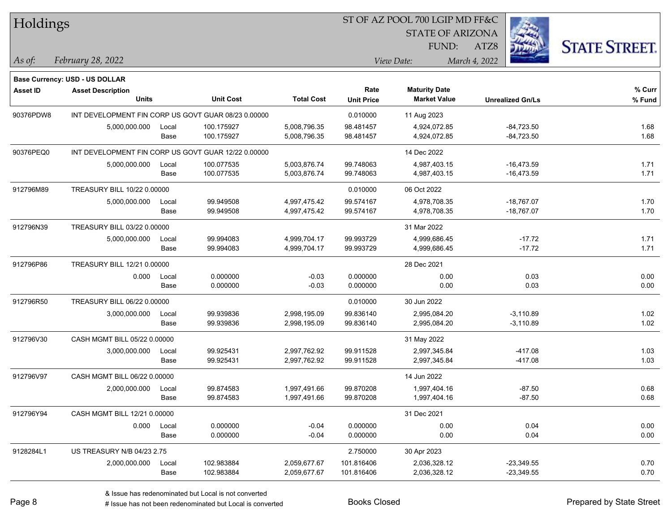| Holdings        |                                                            |       |                                                     |                   |                   | ST OF AZ POOL 700 LGIP MD FF&C |                         |                      |
|-----------------|------------------------------------------------------------|-------|-----------------------------------------------------|-------------------|-------------------|--------------------------------|-------------------------|----------------------|
|                 |                                                            |       |                                                     |                   |                   | <b>STATE OF ARIZONA</b>        |                         |                      |
|                 |                                                            |       |                                                     |                   |                   | FUND:                          | ATZ8                    | <b>STATE STREET.</b> |
| As of:          | February 28, 2022                                          |       |                                                     |                   |                   | View Date:                     | March 4, 2022           |                      |
|                 |                                                            |       |                                                     |                   |                   |                                |                         |                      |
| <b>Asset ID</b> | Base Currency: USD - US DOLLAR<br><b>Asset Description</b> |       |                                                     |                   | Rate              | <b>Maturity Date</b>           |                         | % Curr               |
|                 | <b>Units</b>                                               |       | <b>Unit Cost</b>                                    | <b>Total Cost</b> | <b>Unit Price</b> | <b>Market Value</b>            | <b>Unrealized Gn/Ls</b> | % Fund               |
| 90376PDW8       |                                                            |       | INT DEVELOPMENT FIN CORP US GOVT GUAR 08/23 0.00000 |                   | 0.010000          | 11 Aug 2023                    |                         |                      |
|                 | 5,000,000.000                                              | Local | 100.175927                                          | 5,008,796.35      | 98.481457         | 4,924,072.85                   | $-84,723.50$            | 1.68                 |
|                 |                                                            | Base  | 100.175927                                          | 5,008,796.35      | 98.481457         | 4,924,072.85                   | $-84,723.50$            | 1.68                 |
| 90376PEQ0       |                                                            |       | INT DEVELOPMENT FIN CORP US GOVT GUAR 12/22 0.00000 |                   |                   | 14 Dec 2022                    |                         |                      |
|                 | 5,000,000.000                                              | Local | 100.077535                                          | 5,003,876.74      | 99.748063         | 4,987,403.15                   | $-16,473.59$            | 1.71                 |
|                 |                                                            | Base  | 100.077535                                          | 5,003,876.74      | 99.748063         | 4,987,403.15                   | $-16,473.59$            | 1.71                 |
| 912796M89       | TREASURY BILL 10/22 0.00000                                |       |                                                     |                   | 0.010000          | 06 Oct 2022                    |                         |                      |
|                 | 5,000,000.000                                              | Local | 99.949508                                           | 4,997,475.42      | 99.574167         | 4,978,708.35                   | $-18,767.07$            | 1.70                 |
|                 |                                                            | Base  | 99.949508                                           | 4,997,475.42      | 99.574167         | 4,978,708.35                   | $-18,767.07$            | 1.70                 |
| 912796N39       | TREASURY BILL 03/22 0.00000                                |       |                                                     |                   |                   | 31 Mar 2022                    |                         |                      |
|                 | 5,000,000.000                                              | Local | 99.994083                                           | 4,999,704.17      | 99.993729         | 4,999,686.45                   | $-17.72$                | 1.71                 |
|                 |                                                            | Base  | 99.994083                                           | 4,999,704.17      | 99.993729         | 4,999,686.45                   | $-17.72$                | 1.71                 |
| 912796P86       | TREASURY BILL 12/21 0.00000                                |       |                                                     |                   |                   | 28 Dec 2021                    |                         |                      |
|                 | 0.000                                                      | Local | 0.000000                                            | $-0.03$           | 0.000000          | 0.00                           | 0.03                    | 0.00                 |
|                 |                                                            | Base  | 0.000000                                            | $-0.03$           | 0.000000          | 0.00                           | 0.03                    | 0.00                 |
| 912796R50       | TREASURY BILL 06/22 0.00000                                |       |                                                     |                   | 0.010000          | 30 Jun 2022                    |                         |                      |
|                 | 3,000,000.000                                              | Local | 99.939836                                           | 2,998,195.09      | 99.836140         | 2,995,084.20                   | $-3,110.89$             | 1.02                 |
|                 |                                                            | Base  | 99.939836                                           | 2,998,195.09      | 99.836140         | 2,995,084.20                   | $-3,110.89$             | 1.02                 |
| 912796V30       | CASH MGMT BILL 05/22 0.00000                               |       |                                                     |                   |                   | 31 May 2022                    |                         |                      |
|                 | 3,000,000.000                                              | Local | 99.925431                                           | 2,997,762.92      | 99.911528         | 2,997,345.84                   | $-417.08$               | 1.03                 |
|                 |                                                            | Base  | 99.925431                                           | 2,997,762.92      | 99.911528         | 2,997,345.84                   | $-417.08$               | 1.03                 |
| 912796V97       | CASH MGMT BILL 06/22 0.00000                               |       |                                                     |                   |                   | 14 Jun 2022                    |                         |                      |
|                 | 2,000,000.000                                              | Local | 99.874583                                           | 1,997,491.66      | 99.870208         | 1,997,404.16                   | -87.50                  | 0.68                 |
|                 |                                                            | Base  | 99.874583                                           | 1,997,491.66      | 99.870208         | 1,997,404.16                   | $-87.50$                | 0.68                 |
| 912796Y94       | CASH MGMT BILL 12/21 0.00000                               |       |                                                     |                   |                   | 31 Dec 2021                    |                         |                      |
|                 | 0.000                                                      | Local | 0.000000                                            | $-0.04$           | 0.000000          | 0.00                           | 0.04                    | 0.00                 |
|                 |                                                            | Base  | 0.000000                                            | $-0.04$           | 0.000000          | 0.00                           | 0.04                    | 0.00                 |
| 9128284L1       | US TREASURY N/B 04/23 2.75                                 |       |                                                     |                   | 2.750000          | 30 Apr 2023                    |                         |                      |
|                 | 2,000,000.000                                              | Local | 102.983884                                          | 2,059,677.67      | 101.816406        | 2,036,328.12                   | $-23,349.55$            | 0.70                 |
|                 |                                                            | Base  | 102.983884                                          | 2,059,677.67      | 101.816406        | 2,036,328.12                   | $-23,349.55$            | 0.70                 |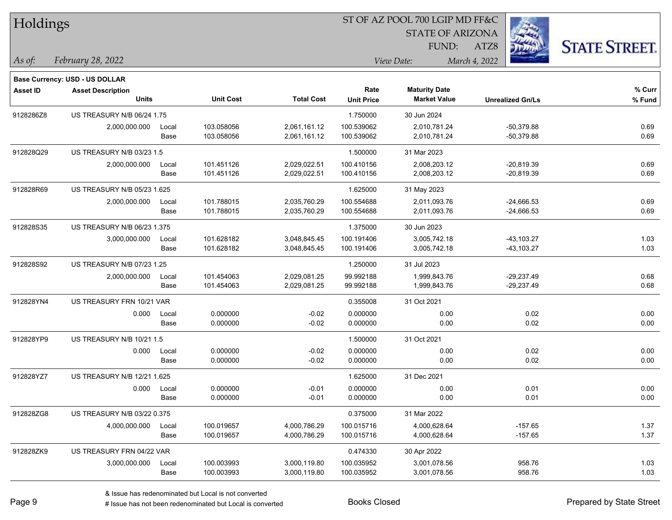| Holdings        |                                    |       |                  |                   |                   | ST OF AZ POOL 700 LGIP MD FF&C |                         |                      |
|-----------------|------------------------------------|-------|------------------|-------------------|-------------------|--------------------------------|-------------------------|----------------------|
|                 |                                    |       |                  |                   |                   | <b>STATE OF ARIZONA</b>        |                         |                      |
|                 |                                    |       |                  |                   |                   | FUND:                          | ATZ8                    | <b>STATE STREET.</b> |
| As of:          | February 28, 2022                  |       |                  |                   |                   | View Date:                     | March 4, 2022           |                      |
|                 | Base Currency: USD - US DOLLAR     |       |                  |                   |                   |                                |                         |                      |
| <b>Asset ID</b> | <b>Asset Description</b>           |       |                  |                   | Rate              | <b>Maturity Date</b>           |                         | % Curr               |
|                 | <b>Units</b>                       |       | <b>Unit Cost</b> | <b>Total Cost</b> | <b>Unit Price</b> | <b>Market Value</b>            | <b>Unrealized Gn/Ls</b> | % Fund               |
| 9128286Z8       | <b>US TREASURY N/B 06/24 1.75</b>  |       |                  |                   | 1.750000          | 30 Jun 2024                    |                         |                      |
|                 | 2,000,000.000                      | Local | 103.058056       | 2,061,161.12      | 100.539062        | 2,010,781.24                   | $-50,379.88$            | 0.69                 |
|                 |                                    | Base  | 103.058056       | 2,061,161.12      | 100.539062        | 2,010,781.24                   | $-50,379.88$            | 0.69                 |
| 912828Q29       | US TREASURY N/B 03/23 1.5          |       |                  |                   | 1.500000          | 31 Mar 2023                    |                         |                      |
|                 | 2,000,000.000                      | Local | 101.451126       | 2,029,022.51      | 100.410156        | 2,008,203.12                   | $-20,819.39$            | 0.69                 |
|                 |                                    | Base  | 101.451126       | 2,029,022.51      | 100.410156        | 2,008,203.12                   | $-20,819.39$            | 0.69                 |
| 912828R69       | US TREASURY N/B 05/23 1.625        |       |                  |                   | 1.625000          | 31 May 2023                    |                         |                      |
|                 | 2,000,000.000                      | Local | 101.788015       | 2,035,760.29      | 100.554688        | 2,011,093.76                   | $-24,666.53$            | 0.69                 |
|                 |                                    | Base  | 101.788015       | 2,035,760.29      | 100.554688        | 2,011,093.76                   | $-24,666.53$            | 0.69                 |
| 912828S35       | US TREASURY N/B 06/23 1.375        |       |                  |                   | 1.375000          | 30 Jun 2023                    |                         |                      |
|                 | 3,000,000.000                      | Local | 101.628182       | 3,048,845.45      | 100.191406        | 3,005,742.18                   | $-43, 103.27$           | 1.03                 |
|                 |                                    | Base  | 101.628182       | 3,048,845.45      | 100.191406        | 3,005,742.18                   | $-43,103.27$            | 1.03                 |
| 912828S92       | US TREASURY N/B 07/23 1.25         |       |                  |                   | 1.250000          | 31 Jul 2023                    |                         |                      |
|                 | 2,000,000.000                      | Local | 101.454063       | 2,029,081.25      | 99.992188         | 1,999,843.76                   | $-29,237.49$            | 0.68                 |
|                 |                                    | Base  | 101.454063       | 2,029,081.25      | 99.992188         | 1,999,843.76                   | $-29,237.49$            | 0.68                 |
| 912828YN4       | US TREASURY FRN 10/21 VAR          |       |                  |                   | 0.355008          | 31 Oct 2021                    |                         |                      |
|                 | 0.000                              | Local | 0.000000         | $-0.02$           | 0.000000          | 0.00                           | 0.02                    | 0.00                 |
|                 |                                    | Base  | 0.000000         | $-0.02$           | 0.000000          | 0.00                           | 0.02                    | 0.00                 |
| 912828YP9       | US TREASURY N/B 10/21 1.5          |       |                  |                   | 1.500000          | 31 Oct 2021                    |                         |                      |
|                 | 0.000                              | Local | 0.000000         | $-0.02$           | 0.000000          | 0.00                           | 0.02                    | 0.00                 |
|                 |                                    | Base  | 0.000000         | $-0.02$           | 0.000000          | 0.00                           | 0.02                    | 0.00                 |
| 912828YZ7       | <b>US TREASURY N/B 12/21 1.625</b> |       |                  |                   | 1.625000          | 31 Dec 2021                    |                         |                      |
|                 | 0.000                              | Local | 0.000000         | $-0.01$           | 0.000000          | 0.00                           | 0.01                    | 0.00                 |
|                 |                                    | Base  | 0.000000         | $-0.01$           | 0.000000          | 0.00                           | 0.01                    | 0.00                 |
| 912828ZG8       | US TREASURY N/B 03/22 0.375        |       |                  |                   | 0.375000          | 31 Mar 2022                    |                         |                      |
|                 | 4,000,000.000                      | Local | 100.019657       | 4,000,786.29      | 100.015716        | 4,000,628.64                   | $-157.65$               | 1.37                 |
|                 |                                    | Base  | 100.019657       | 4,000,786.29      | 100.015716        | 4,000,628.64                   | $-157.65$               | 1.37                 |
| 912828ZK9       | US TREASURY FRN 04/22 VAR          |       |                  |                   | 0.474330          | 30 Apr 2022                    |                         |                      |
|                 | 3,000,000.000                      | Local | 100.003993       | 3,000,119.80      | 100.035952        | 3,001,078.56                   | 958.76                  | 1.03                 |
|                 |                                    | Base  | 100.003993       | 3,000,119.80      | 100.035952        | 3,001,078.56                   | 958.76                  | 1.03                 |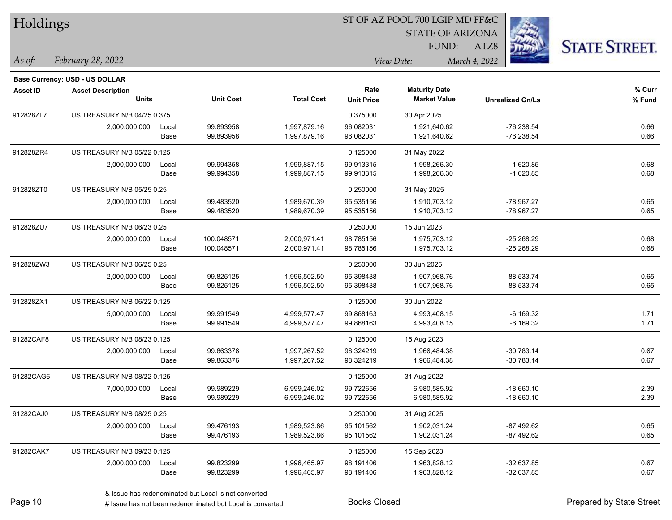| Holdings        |                                          |       |                  |                   |                           | ST OF AZ POOL 700 LGIP MD FF&C              |                         |                      |
|-----------------|------------------------------------------|-------|------------------|-------------------|---------------------------|---------------------------------------------|-------------------------|----------------------|
|                 |                                          |       |                  |                   |                           | <b>STATE OF ARIZONA</b>                     |                         |                      |
|                 |                                          |       |                  |                   |                           | FUND:                                       | ATZ8                    | <b>STATE STREET.</b> |
| $\vert$ As of:  | February 28, 2022                        |       |                  |                   |                           | View Date:                                  | March 4, 2022           |                      |
|                 |                                          |       |                  |                   |                           |                                             |                         |                      |
|                 | <b>Base Currency: USD - US DOLLAR</b>    |       |                  |                   |                           |                                             |                         |                      |
| <b>Asset ID</b> | <b>Asset Description</b><br><b>Units</b> |       | <b>Unit Cost</b> | <b>Total Cost</b> | Rate<br><b>Unit Price</b> | <b>Maturity Date</b><br><b>Market Value</b> | <b>Unrealized Gn/Ls</b> | % Curr<br>% Fund     |
| 912828ZL7       | <b>US TREASURY N/B 04/25 0.375</b>       |       |                  |                   | 0.375000                  | 30 Apr 2025                                 |                         |                      |
|                 | 2,000,000.000                            | Local | 99.893958        | 1,997,879.16      | 96.082031                 | 1,921,640.62                                | $-76,238.54$            | 0.66                 |
|                 |                                          | Base  | 99.893958        | 1,997,879.16      | 96.082031                 | 1,921,640.62                                | $-76,238.54$            | 0.66                 |
| 912828ZR4       | US TREASURY N/B 05/22 0.125              |       |                  |                   | 0.125000                  | 31 May 2022                                 |                         |                      |
|                 | 2,000,000.000                            | Local | 99.994358        | 1,999,887.15      | 99.913315                 | 1,998,266.30                                | $-1,620.85$             | 0.68                 |
|                 |                                          | Base  | 99.994358        | 1,999,887.15      | 99.913315                 | 1,998,266.30                                | $-1,620.85$             | 0.68                 |
| 912828ZT0       | US TREASURY N/B 05/25 0.25               |       |                  |                   | 0.250000                  | 31 May 2025                                 |                         |                      |
|                 | 2,000,000.000                            | Local | 99.483520        | 1,989,670.39      | 95.535156                 | 1,910,703.12                                | $-78,967.27$            | 0.65                 |
|                 |                                          | Base  | 99.483520        | 1,989,670.39      | 95.535156                 | 1,910,703.12                                | -78,967.27              | 0.65                 |
| 912828ZU7       | US TREASURY N/B 06/23 0.25               |       |                  |                   | 0.250000                  | 15 Jun 2023                                 |                         |                      |
|                 | 2,000,000.000                            | Local | 100.048571       | 2,000,971.41      | 98.785156                 | 1,975,703.12                                | $-25,268.29$            | 0.68                 |
|                 |                                          | Base  | 100.048571       | 2,000,971.41      | 98.785156                 | 1,975,703.12                                | $-25,268.29$            | 0.68                 |
| 912828ZW3       | US TREASURY N/B 06/25 0.25               |       |                  |                   | 0.250000                  | 30 Jun 2025                                 |                         |                      |
|                 | 2,000,000.000                            | Local | 99.825125        | 1,996,502.50      | 95.398438                 | 1,907,968.76                                | $-88,533.74$            | 0.65                 |
|                 |                                          | Base  | 99.825125        | 1,996,502.50      | 95.398438                 | 1,907,968.76                                | $-88,533.74$            | 0.65                 |
| 912828ZX1       | US TREASURY N/B 06/22 0.125              |       |                  |                   | 0.125000                  | 30 Jun 2022                                 |                         |                      |
|                 | 5,000,000.000                            | Local | 99.991549        | 4,999,577.47      | 99.868163                 | 4,993,408.15                                | $-6,169.32$             | 1.71                 |
|                 |                                          | Base  | 99.991549        | 4,999,577.47      | 99.868163                 | 4,993,408.15                                | $-6,169.32$             | 1.71                 |
| 91282CAF8       | US TREASURY N/B 08/23 0.125              |       |                  |                   | 0.125000                  | 15 Aug 2023                                 |                         |                      |
|                 | 2,000,000.000                            | Local | 99.863376        | 1,997,267.52      | 98.324219                 | 1,966,484.38                                | $-30,783.14$            | 0.67                 |
|                 |                                          | Base  | 99.863376        | 1,997,267.52      | 98.324219                 | 1,966,484.38                                | $-30,783.14$            | 0.67                 |
| 91282CAG6       | US TREASURY N/B 08/22 0.125              |       |                  |                   | 0.125000                  | 31 Aug 2022                                 |                         |                      |
|                 | 7,000,000.000                            | Local | 99.989229        | 6,999,246.02      | 99.722656                 | 6,980,585.92                                | $-18,660.10$            | 2.39                 |
|                 |                                          | Base  | 99.989229        | 6,999,246.02      | 99.722656                 | 6,980,585.92                                | $-18,660.10$            | 2.39                 |
| 91282CAJ0       | US TREASURY N/B 08/25 0.25               |       |                  |                   | 0.250000                  | 31 Aug 2025                                 |                         |                      |
|                 | 2,000,000.000                            | Local | 99.476193        | 1,989,523.86      | 95.101562                 | 1,902,031.24                                | $-87,492.62$            | 0.65                 |
|                 |                                          | Base  | 99.476193        | 1,989,523.86      | 95.101562                 | 1,902,031.24                                | $-87,492.62$            | 0.65                 |
| 91282CAK7       | US TREASURY N/B 09/23 0.125              |       |                  |                   | 0.125000                  | 15 Sep 2023                                 |                         |                      |
|                 | 2,000,000.000                            | Local | 99.823299        | 1,996,465.97      | 98.191406                 | 1,963,828.12                                | $-32,637.85$            | 0.67                 |
|                 |                                          | Base  | 99.823299        | 1,996,465.97      | 98.191406                 | 1,963,828.12                                | $-32,637.85$            | 0.67                 |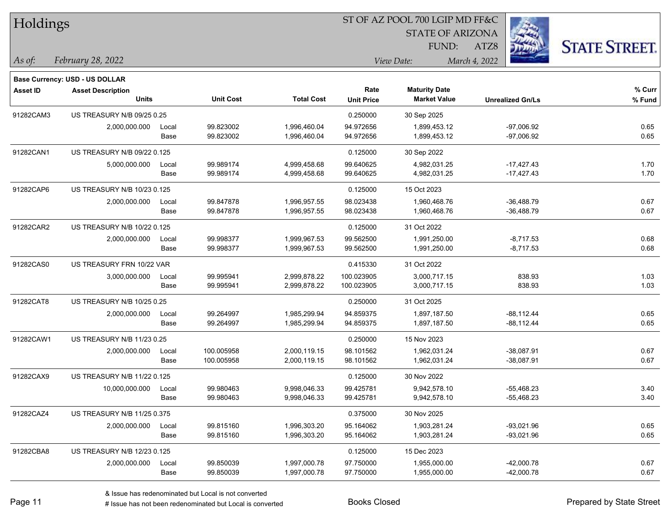| Holdings        |                                                            |       |                  |                   |                   | ST OF AZ POOL 700 LGIP MD FF&C |                         |                      |
|-----------------|------------------------------------------------------------|-------|------------------|-------------------|-------------------|--------------------------------|-------------------------|----------------------|
|                 |                                                            |       |                  |                   |                   | <b>STATE OF ARIZONA</b>        |                         |                      |
|                 |                                                            |       |                  |                   |                   | FUND:                          | ATZ8                    | <b>STATE STREET.</b> |
| As of:          | February 28, 2022                                          |       |                  |                   |                   | View Date:                     | March 4, 2022           |                      |
|                 |                                                            |       |                  |                   |                   |                                |                         |                      |
| <b>Asset ID</b> | Base Currency: USD - US DOLLAR<br><b>Asset Description</b> |       |                  |                   | Rate              | <b>Maturity Date</b>           |                         | % Curr               |
|                 | <b>Units</b>                                               |       | <b>Unit Cost</b> | <b>Total Cost</b> | <b>Unit Price</b> | <b>Market Value</b>            | <b>Unrealized Gn/Ls</b> | % Fund               |
| 91282CAM3       | US TREASURY N/B 09/25 0.25                                 |       |                  |                   | 0.250000          | 30 Sep 2025                    |                         |                      |
|                 | 2,000,000.000                                              | Local | 99.823002        | 1,996,460.04      | 94.972656         | 1,899,453.12                   | $-97,006.92$            | 0.65                 |
|                 |                                                            | Base  | 99.823002        | 1,996,460.04      | 94.972656         | 1,899,453.12                   | $-97,006.92$            | 0.65                 |
| 91282CAN1       | US TREASURY N/B 09/22 0.125                                |       |                  |                   | 0.125000          | 30 Sep 2022                    |                         |                      |
|                 | 5,000,000.000                                              | Local | 99.989174        | 4,999,458.68      | 99.640625         | 4,982,031.25                   | $-17,427.43$            | 1.70                 |
|                 |                                                            | Base  | 99.989174        | 4,999,458.68      | 99.640625         | 4,982,031.25                   | $-17,427.43$            | 1.70                 |
| 91282CAP6       | US TREASURY N/B 10/23 0.125                                |       |                  |                   | 0.125000          | 15 Oct 2023                    |                         |                      |
|                 | 2,000,000.000                                              | Local | 99.847878        | 1,996,957.55      | 98.023438         | 1,960,468.76                   | $-36,488.79$            | 0.67                 |
|                 |                                                            | Base  | 99.847878        | 1,996,957.55      | 98.023438         | 1,960,468.76                   | -36,488.79              | 0.67                 |
| 91282CAR2       | US TREASURY N/B 10/22 0.125                                |       |                  |                   | 0.125000          | 31 Oct 2022                    |                         |                      |
|                 | 2,000,000.000                                              | Local | 99.998377        | 1,999,967.53      | 99.562500         | 1,991,250.00                   | $-8,717.53$             | 0.68                 |
|                 |                                                            | Base  | 99.998377        | 1,999,967.53      | 99.562500         | 1,991,250.00                   | $-8,717.53$             | 0.68                 |
| 91282CAS0       | US TREASURY FRN 10/22 VAR                                  |       |                  |                   | 0.415330          | 31 Oct 2022                    |                         |                      |
|                 | 3,000,000.000                                              | Local | 99.995941        | 2,999,878.22      | 100.023905        | 3,000,717.15                   | 838.93                  | 1.03                 |
|                 |                                                            | Base  | 99.995941        | 2,999,878.22      | 100.023905        | 3,000,717.15                   | 838.93                  | 1.03                 |
| 91282CAT8       | US TREASURY N/B 10/25 0.25                                 |       |                  |                   | 0.250000          | 31 Oct 2025                    |                         |                      |
|                 | 2,000,000.000                                              | Local | 99.264997        | 1,985,299.94      | 94.859375         | 1,897,187.50                   | $-88,112.44$            | 0.65                 |
|                 |                                                            | Base  | 99.264997        | 1,985,299.94      | 94.859375         | 1,897,187.50                   | $-88,112.44$            | 0.65                 |
| 91282CAW1       | US TREASURY N/B 11/23 0.25                                 |       |                  |                   | 0.250000          | 15 Nov 2023                    |                         |                      |
|                 | 2,000,000.000                                              | Local | 100.005958       | 2,000,119.15      | 98.101562         | 1,962,031.24                   | $-38,087.91$            | 0.67                 |
|                 |                                                            | Base  | 100.005958       | 2,000,119.15      | 98.101562         | 1,962,031.24                   | $-38,087.91$            | 0.67                 |
| 91282CAX9       | <b>US TREASURY N/B 11/22 0.125</b>                         |       |                  |                   | 0.125000          | 30 Nov 2022                    |                         |                      |
|                 | 10,000,000.000                                             | Local | 99.980463        | 9,998,046.33      | 99.425781         | 9,942,578.10                   | $-55,468.23$            | 3.40                 |
|                 |                                                            | Base  | 99.980463        | 9,998,046.33      | 99.425781         | 9,942,578.10                   | $-55,468.23$            | 3.40                 |
| 91282CAZ4       | US TREASURY N/B 11/25 0.375                                |       |                  |                   | 0.375000          | 30 Nov 2025                    |                         |                      |
|                 | 2,000,000.000                                              | Local | 99.815160        | 1,996,303.20      | 95.164062         | 1,903,281.24                   | $-93,021.96$            | 0.65                 |
|                 |                                                            | Base  | 99.815160        | 1,996,303.20      | 95.164062         | 1,903,281.24                   | $-93,021.96$            | 0.65                 |
| 91282CBA8       | US TREASURY N/B 12/23 0.125                                |       |                  |                   | 0.125000          | 15 Dec 2023                    |                         |                      |
|                 | 2,000,000.000                                              | Local | 99.850039        | 1,997,000.78      | 97.750000         | 1,955,000.00                   | $-42,000.78$            | 0.67                 |
|                 |                                                            | Base  | 99.850039        | 1,997,000.78      | 97.750000         | 1,955,000.00                   | $-42,000.78$            | 0.67                 |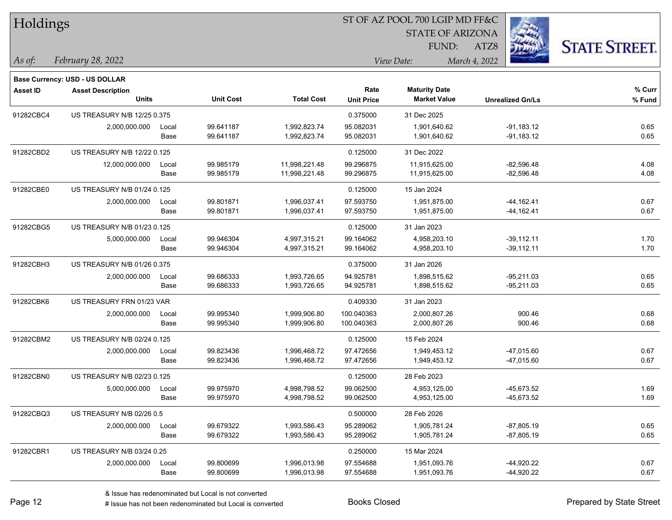| Holdings        |                                |               |                        |                              |                        | 51 OF AZ POOL 700 LGIP MD FF&C<br><b>STATE OF ARIZONA</b> | 223                          |                      |
|-----------------|--------------------------------|---------------|------------------------|------------------------------|------------------------|-----------------------------------------------------------|------------------------------|----------------------|
|                 |                                |               |                        |                              |                        | FUND:                                                     | ATZ8                         | <b>STATE STREET.</b> |
| As of:          | February 28, 2022              |               |                        |                              |                        | View Date:                                                | March 4, 2022                |                      |
|                 | Base Currency: USD - US DOLLAR |               |                        |                              |                        |                                                           |                              |                      |
| <b>Asset ID</b> | <b>Asset Description</b>       |               |                        |                              | Rate                   | <b>Maturity Date</b>                                      |                              | % Curr               |
|                 | <b>Units</b>                   |               | <b>Unit Cost</b>       | <b>Total Cost</b>            | <b>Unit Price</b>      | <b>Market Value</b>                                       | <b>Unrealized Gn/Ls</b>      | % Fund               |
| 91282CBC4       | US TREASURY N/B 12/25 0.375    |               |                        |                              | 0.375000               | 31 Dec 2025                                               |                              |                      |
|                 | 2,000,000.000                  | Local         | 99.641187              | 1,992,823.74                 | 95.082031              | 1,901,640.62                                              | $-91,183.12$                 | 0.65                 |
|                 |                                | Base          | 99.641187              | 1,992,823.74                 | 95.082031              | 1,901,640.62                                              | $-91,183.12$                 | 0.65                 |
| 91282CBD2       | US TREASURY N/B 12/22 0.125    |               |                        |                              | 0.125000               | 31 Dec 2022                                               |                              |                      |
|                 | 12,000,000.000                 | Local         | 99.985179              | 11,998,221.48                | 99.296875              | 11,915,625.00                                             | $-82,596.48$                 | 4.08                 |
|                 |                                | Base          | 99.985179              | 11,998,221.48                | 99.296875              | 11,915,625.00                                             | $-82,596.48$                 | 4.08                 |
| 91282CBE0       | US TREASURY N/B 01/24 0.125    |               |                        |                              | 0.125000               | 15 Jan 2024                                               |                              |                      |
|                 | 2,000,000.000                  | Local         | 99.801871              | 1,996,037.41                 | 97.593750              | 1,951,875.00                                              | $-44, 162.41$                | 0.67                 |
|                 |                                | Base          | 99.801871              | 1,996,037.41                 | 97.593750              | 1,951,875.00                                              | $-44,162.41$                 | 0.67                 |
| 91282CBG5       | US TREASURY N/B 01/23 0.125    |               |                        |                              | 0.125000               | 31 Jan 2023                                               |                              |                      |
|                 | 5,000,000.000                  | Local         | 99.946304              | 4,997,315.21                 | 99.164062              | 4,958,203.10                                              | $-39,112.11$                 | 1.70                 |
|                 |                                | Base          | 99.946304              | 4,997,315.21                 | 99.164062              | 4,958,203.10                                              | $-39,112.11$                 | 1.70                 |
| 91282CBH3       | US TREASURY N/B 01/26 0.375    |               |                        |                              | 0.375000               | 31 Jan 2026                                               |                              |                      |
|                 | 2,000,000.000                  | Local         | 99.686333              | 1,993,726.65                 | 94.925781              | 1,898,515.62                                              | $-95,211.03$                 | 0.65                 |
|                 |                                | Base          | 99.686333              | 1,993,726.65                 | 94.925781              | 1,898,515.62                                              | $-95,211.03$                 | 0.65                 |
| 91282CBK6       | US TREASURY FRN 01/23 VAR      |               |                        |                              | 0.409330               | 31 Jan 2023                                               |                              |                      |
|                 | 2,000,000.000                  | Local         | 99.995340              | 1,999,906.80                 | 100.040363             | 2,000,807.26                                              | 900.46                       | 0.68                 |
|                 |                                | Base          | 99.995340              | 1,999,906.80                 | 100.040363             | 2,000,807.26                                              | 900.46                       | 0.68                 |
| 91282CBM2       | US TREASURY N/B 02/24 0.125    |               |                        |                              | 0.125000               | 15 Feb 2024                                               |                              |                      |
|                 | 2,000,000.000                  | Local         | 99.823436              | 1,996,468.72                 | 97.472656              | 1,949,453.12                                              | $-47,015.60$                 | 0.67                 |
|                 |                                | Base          | 99.823436              | 1,996,468.72                 | 97.472656              | 1,949,453.12                                              | -47,015.60                   | 0.67                 |
| 91282CBN0       | US TREASURY N/B 02/23 0.125    |               |                        |                              | 0.125000               | 28 Feb 2023                                               |                              |                      |
|                 | 5,000,000.000                  | Local         | 99.975970<br>99.975970 | 4,998,798.52                 | 99.062500              | 4,953,125.00                                              | $-45,673.52$                 | 1.69<br>1.69         |
|                 |                                | Base          |                        | 4,998,798.52                 | 99.062500              | 4,953,125.00                                              | -45,673.52                   |                      |
| 91282CBQ3       | US TREASURY N/B 02/26 0.5      |               |                        |                              | 0.500000               | 28 Feb 2026                                               |                              |                      |
|                 | 2,000,000.000                  | Local         | 99.679322              | 1,993,586.43                 | 95.289062              | 1,905,781.24                                              | $-87,805.19$                 | 0.65                 |
|                 |                                | Base          | 99.679322              | 1,993,586.43                 | 95.289062              | 1,905,781.24                                              | $-87,805.19$                 | 0.65                 |
| 91282CBR1       | US TREASURY N/B 03/24 0.25     |               |                        |                              | 0.250000               | 15 Mar 2024                                               |                              |                      |
|                 | 2,000,000.000                  | Local<br>Base | 99.800699<br>99.800699 | 1,996,013.98<br>1,996,013.98 | 97.554688<br>97.554688 | 1,951,093.76<br>1,951,093.76                              | $-44,920.22$<br>$-44,920.22$ | 0.67<br>0.67         |
|                 |                                |               |                        |                              |                        |                                                           |                              |                      |

 $ST$  OF A Z POOL 700 LCIP MD FF&C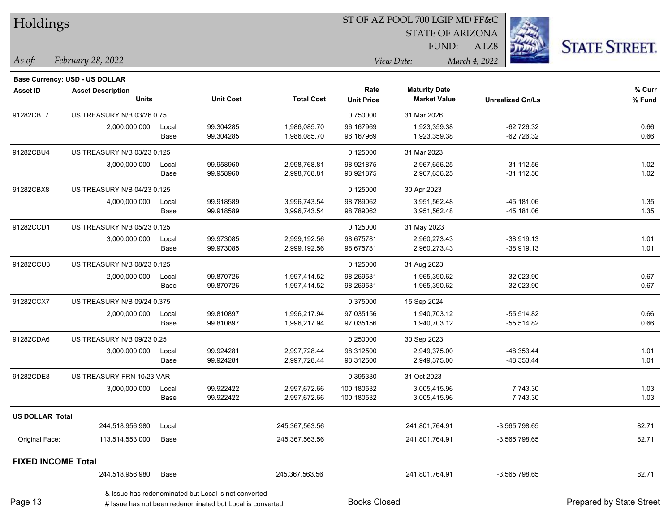| Holdings                  |                                       |       |                                                                                                                   |                   |                     | ST OF AZ POOL 700 LGIP MD FF&C |                         |                          |
|---------------------------|---------------------------------------|-------|-------------------------------------------------------------------------------------------------------------------|-------------------|---------------------|--------------------------------|-------------------------|--------------------------|
|                           |                                       |       |                                                                                                                   |                   |                     | <b>STATE OF ARIZONA</b>        |                         |                          |
|                           |                                       |       |                                                                                                                   |                   |                     | FUND:                          | ATZ8                    | <b>STATE STREET.</b>     |
| As of:                    | February 28, 2022                     |       |                                                                                                                   |                   |                     | View Date:                     | March 4, 2022           |                          |
|                           | <b>Base Currency: USD - US DOLLAR</b> |       |                                                                                                                   |                   |                     |                                |                         |                          |
| <b>Asset ID</b>           | <b>Asset Description</b>              |       |                                                                                                                   |                   | Rate                | <b>Maturity Date</b>           |                         | % Curr                   |
|                           | <b>Units</b>                          |       | <b>Unit Cost</b>                                                                                                  | <b>Total Cost</b> | <b>Unit Price</b>   | <b>Market Value</b>            | <b>Unrealized Gn/Ls</b> | % Fund                   |
| 91282CBT7                 | US TREASURY N/B 03/26 0.75            |       |                                                                                                                   |                   | 0.750000            | 31 Mar 2026                    |                         |                          |
|                           | 2,000,000.000                         | Local | 99.304285                                                                                                         | 1,986,085.70      | 96.167969           | 1,923,359.38                   | $-62,726.32$            | 0.66                     |
|                           |                                       | Base  | 99.304285                                                                                                         | 1,986,085.70      | 96.167969           | 1,923,359.38                   | $-62,726.32$            | 0.66                     |
| 91282CBU4                 | US TREASURY N/B 03/23 0.125           |       |                                                                                                                   |                   | 0.125000            | 31 Mar 2023                    |                         |                          |
|                           | 3,000,000.000                         | Local | 99.958960                                                                                                         | 2,998,768.81      | 98.921875           | 2,967,656.25                   | $-31,112.56$            | 1.02                     |
|                           |                                       | Base  | 99.958960                                                                                                         | 2,998,768.81      | 98.921875           | 2,967,656.25                   | $-31,112.56$            | 1.02                     |
| 91282CBX8                 | US TREASURY N/B 04/23 0.125           |       |                                                                                                                   |                   | 0.125000            | 30 Apr 2023                    |                         |                          |
|                           | 4,000,000.000                         | Local | 99.918589                                                                                                         | 3,996,743.54      | 98.789062           | 3,951,562.48                   | $-45,181.06$            | 1.35                     |
|                           |                                       | Base  | 99.918589                                                                                                         | 3,996,743.54      | 98.789062           | 3,951,562.48                   | -45,181.06              | 1.35                     |
| 91282CCD1                 | US TREASURY N/B 05/23 0.125           |       |                                                                                                                   |                   | 0.125000            | 31 May 2023                    |                         |                          |
|                           | 3,000,000.000                         | Local | 99.973085                                                                                                         | 2,999,192.56      | 98.675781           | 2,960,273.43                   | $-38,919.13$            | 1.01                     |
|                           |                                       | Base  | 99.973085                                                                                                         | 2,999,192.56      | 98.675781           | 2,960,273.43                   | $-38,919.13$            | 1.01                     |
| 91282CCU3                 | US TREASURY N/B 08/23 0.125           |       |                                                                                                                   |                   | 0.125000            | 31 Aug 2023                    |                         |                          |
|                           | 2,000,000.000                         | Local | 99.870726                                                                                                         | 1,997,414.52      | 98.269531           | 1,965,390.62                   | $-32,023.90$            | 0.67                     |
|                           |                                       | Base  | 99.870726                                                                                                         | 1,997,414.52      | 98.269531           | 1,965,390.62                   | $-32,023.90$            | 0.67                     |
| 91282CCX7                 | US TREASURY N/B 09/24 0.375           |       |                                                                                                                   |                   | 0.375000            | 15 Sep 2024                    |                         |                          |
|                           | 2,000,000.000                         | Local | 99.810897                                                                                                         | 1,996,217.94      | 97.035156           | 1,940,703.12                   | $-55,514.82$            | 0.66                     |
|                           |                                       | Base  | 99.810897                                                                                                         | 1,996,217.94      | 97.035156           | 1,940,703.12                   | $-55,514.82$            | 0.66                     |
| 91282CDA6                 | US TREASURY N/B 09/23 0.25            |       |                                                                                                                   |                   | 0.250000            | 30 Sep 2023                    |                         |                          |
|                           | 3,000,000.000                         | Local | 99.924281                                                                                                         | 2,997,728.44      | 98.312500           | 2,949,375.00                   | $-48,353.44$            | 1.01                     |
|                           |                                       | Base  | 99.924281                                                                                                         | 2,997,728.44      | 98.312500           | 2,949,375.00                   | $-48,353.44$            | 1.01                     |
| 91282CDE8                 | US TREASURY FRN 10/23 VAR             |       |                                                                                                                   |                   | 0.395330            | 31 Oct 2023                    |                         |                          |
|                           | 3,000,000.000                         | Local | 99.922422                                                                                                         | 2,997,672.66      | 100.180532          | 3,005,415.96                   | 7,743.30                | 1.03                     |
|                           |                                       | Base  | 99.922422                                                                                                         | 2,997,672.66      | 100.180532          | 3,005,415.96                   | 7,743.30                | 1.03                     |
| <b>US DOLLAR Total</b>    |                                       |       |                                                                                                                   |                   |                     |                                |                         |                          |
|                           | 244,518,956.980                       | Local |                                                                                                                   | 245,367,563.56    |                     | 241,801,764.91                 | $-3,565,798.65$         | 82.71                    |
| Original Face:            | 113,514,553.000                       | Base  |                                                                                                                   | 245,367,563.56    |                     | 241,801,764.91                 | $-3,565,798.65$         | 82.71                    |
| <b>FIXED INCOME Total</b> |                                       |       |                                                                                                                   |                   |                     |                                |                         |                          |
|                           | 244,518,956.980                       | Base  |                                                                                                                   | 245,367,563.56    |                     | 241,801,764.91                 | $-3,565,798.65$         | 82.71                    |
| Page 13                   |                                       |       | & Issue has redenominated but Local is not converted<br># Issue has not been redenominated but Local is converted |                   | <b>Books Closed</b> |                                |                         | Prepared by State Street |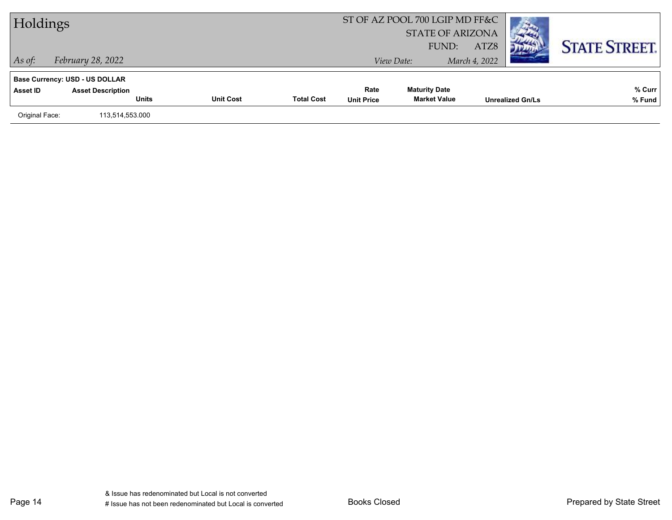| Holdings       |                                                                                   |                  |                   |                           | ST OF AZ POOL 700 LGIP MD FF&C<br><b>STATE OF ARIZONA</b> |                       |                         |                      |
|----------------|-----------------------------------------------------------------------------------|------------------|-------------------|---------------------------|-----------------------------------------------------------|-----------------------|-------------------------|----------------------|
| $\vert$ As of: | February 28, 2022                                                                 |                  |                   |                           | FUND:<br>View Date:                                       | ATZ8<br>March 4, 2022 |                         | <b>STATE STREET.</b> |
| Asset ID       | <b>Base Currency: USD - US DOLLAR</b><br><b>Asset Description</b><br><b>Units</b> | <b>Unit Cost</b> | <b>Total Cost</b> | Rate<br><b>Unit Price</b> | <b>Maturity Date</b><br><b>Market Value</b>               |                       | <b>Unrealized Gn/Ls</b> | % Curr<br>% Fund     |
| Original Face: | 113,514,553.000                                                                   |                  |                   |                           |                                                           |                       |                         |                      |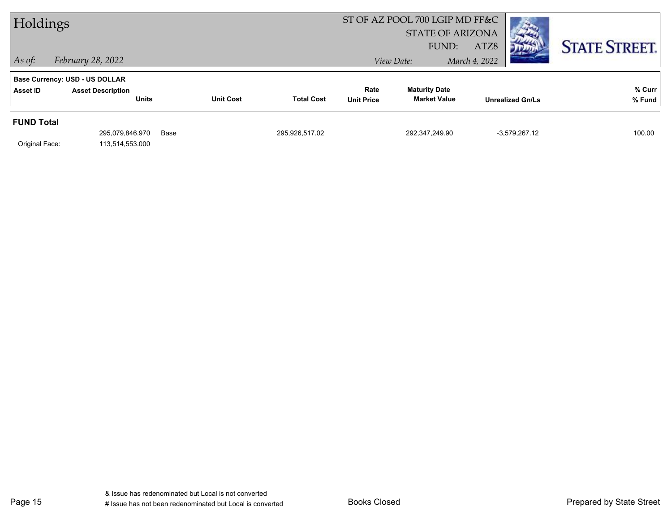| Holdings          |                                       |                  |                   |                   | ST OF AZ POOL 700 LGIP MD FF&C              |               |                         |                      |
|-------------------|---------------------------------------|------------------|-------------------|-------------------|---------------------------------------------|---------------|-------------------------|----------------------|
|                   |                                       |                  |                   |                   | <b>STATE OF ARIZONA</b>                     |               |                         |                      |
|                   |                                       |                  |                   |                   | FUND:                                       | ATZ8          |                         | <b>STATE STREET.</b> |
| $ $ As of:        | February 28, 2022                     |                  |                   |                   | View Date:                                  | March 4, 2022 |                         |                      |
|                   | <b>Base Currency: USD - US DOLLAR</b> |                  |                   |                   |                                             |               |                         |                      |
| Asset ID          | <b>Asset Description</b>              |                  |                   | Rate              | <b>Maturity Date</b><br><b>Market Value</b> |               |                         | % Curr               |
|                   | <b>Units</b>                          | <b>Unit Cost</b> | <b>Total Cost</b> | <b>Unit Price</b> |                                             |               | <b>Unrealized Gn/Ls</b> | % Fund               |
| <b>FUND Total</b> |                                       |                  |                   |                   |                                             |               |                         |                      |
|                   | 295,079,846.970                       | Base             | 295,926,517.02    |                   | 292,347,249.90                              |               | $-3.579.267.12$         | 100.00               |
| Original Face:    | 113,514,553.000                       |                  |                   |                   |                                             |               |                         |                      |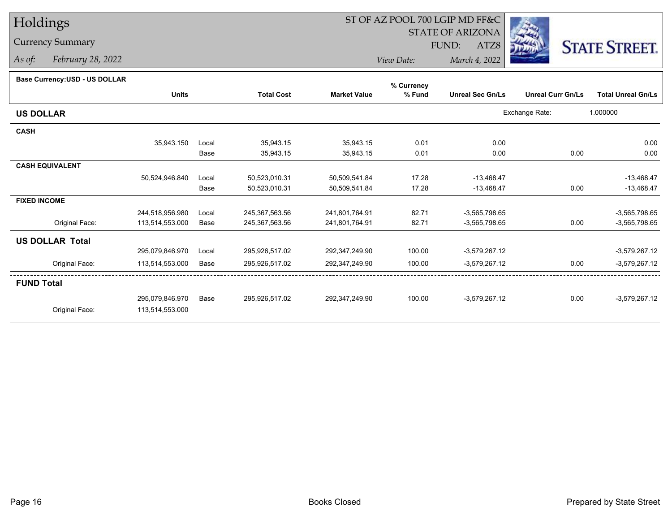# Holdings

### Currency Summary

*As of: February 28, 2022*

## ST OF AZ POOL 700 LGIP MD FF&C

STATE OF ARIZONA

ATZ8



*View Date: March 4, 2022*FUND:

| <b>Base Currency: USD - US DOLLAR</b> |  |
|---------------------------------------|--|
|                                       |  |

| <b>Dase OdiTency.00D - 00 DOLLAR</b> |                 |       |                   |                     | % Currency |                         |                          |                           |
|--------------------------------------|-----------------|-------|-------------------|---------------------|------------|-------------------------|--------------------------|---------------------------|
|                                      | <b>Units</b>    |       | <b>Total Cost</b> | <b>Market Value</b> | % Fund     | <b>Unreal Sec Gn/Ls</b> | <b>Unreal Curr Gn/Ls</b> | <b>Total Unreal Gn/Ls</b> |
| <b>US DOLLAR</b>                     |                 |       |                   |                     |            |                         | Exchange Rate:           | 1.000000                  |
| <b>CASH</b>                          |                 |       |                   |                     |            |                         |                          |                           |
|                                      | 35,943.150      | Local | 35,943.15         | 35,943.15           | 0.01       | 0.00                    |                          | 0.00                      |
|                                      |                 | Base  | 35,943.15         | 35,943.15           | 0.01       | 0.00                    | 0.00                     | 0.00                      |
| <b>CASH EQUIVALENT</b>               |                 |       |                   |                     |            |                         |                          |                           |
|                                      | 50,524,946.840  | Local | 50,523,010.31     | 50,509,541.84       | 17.28      | $-13,468.47$            |                          | $-13,468.47$              |
|                                      |                 | Base  | 50,523,010.31     | 50,509,541.84       | 17.28      | $-13,468.47$            | 0.00                     | $-13,468.47$              |
| <b>FIXED INCOME</b>                  |                 |       |                   |                     |            |                         |                          |                           |
|                                      | 244,518,956.980 | Local | 245,367,563.56    | 241,801,764.91      | 82.71      | $-3,565,798.65$         |                          | $-3,565,798.65$           |
| Original Face:                       | 113,514,553.000 | Base  | 245,367,563.56    | 241,801,764.91      | 82.71      | $-3,565,798.65$         | 0.00                     | $-3,565,798.65$           |
| <b>US DOLLAR Total</b>               |                 |       |                   |                     |            |                         |                          |                           |
|                                      | 295,079,846.970 | Local | 295,926,517.02    | 292,347,249.90      | 100.00     | $-3,579,267.12$         |                          | $-3,579,267.12$           |
| Original Face:                       | 113,514,553.000 | Base  | 295,926,517.02    | 292,347,249.90      | 100.00     | $-3,579,267.12$         | 0.00                     | $-3,579,267.12$           |
| <b>FUND Total</b>                    |                 |       |                   |                     |            |                         |                          |                           |
|                                      | 295,079,846.970 | Base  | 295,926,517.02    | 292,347,249.90      | 100.00     | $-3,579,267.12$         | 0.00                     | $-3,579,267.12$           |
| Original Face:                       | 113,514,553.000 |       |                   |                     |            |                         |                          |                           |
|                                      |                 |       |                   |                     |            |                         |                          |                           |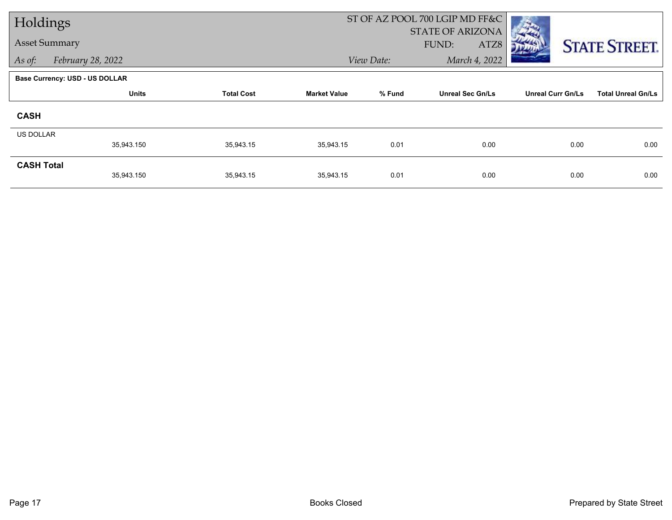| Holdings             |                                       |                   |                     |            | ST OF AZ POOL 700 LGIP MD FF&C           |                          |                           |
|----------------------|---------------------------------------|-------------------|---------------------|------------|------------------------------------------|--------------------------|---------------------------|
| <b>Asset Summary</b> |                                       |                   |                     |            | <b>STATE OF ARIZONA</b><br>FUND:<br>ATZ8 |                          |                           |
| As of:               | February 28, 2022                     |                   |                     | View Date: | March 4, 2022                            |                          | <b>STATE STREET.</b>      |
|                      |                                       |                   |                     |            |                                          |                          |                           |
|                      | <b>Base Currency: USD - US DOLLAR</b> |                   |                     |            |                                          |                          |                           |
|                      | <b>Units</b>                          | <b>Total Cost</b> | <b>Market Value</b> | % Fund     | <b>Unreal Sec Gn/Ls</b>                  | <b>Unreal Curr Gn/Ls</b> | <b>Total Unreal Gn/Ls</b> |
| <b>CASH</b>          |                                       |                   |                     |            |                                          |                          |                           |
| <b>US DOLLAR</b>     |                                       |                   |                     |            |                                          |                          |                           |
|                      | 35,943.150                            | 35,943.15         | 35,943.15           | 0.01       | 0.00                                     | 0.00                     | 0.00                      |
| <b>CASH Total</b>    |                                       |                   |                     |            |                                          |                          |                           |
|                      | 35,943.150                            | 35,943.15         | 35,943.15           | 0.01       | 0.00                                     | 0.00                     | 0.00                      |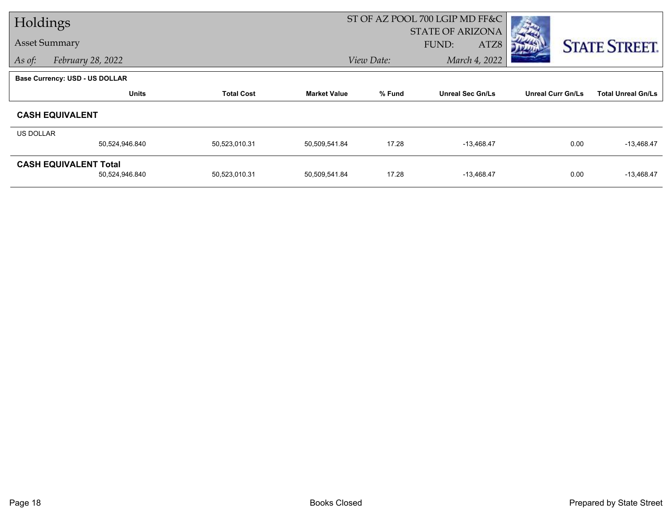| Holdings             |                                |                   |                     | ST OF AZ POOL 700 LGIP MD FF&C |                         |                          |                           |
|----------------------|--------------------------------|-------------------|---------------------|--------------------------------|-------------------------|--------------------------|---------------------------|
|                      |                                |                   |                     | <b>STATE OF ARIZONA</b>        |                         |                          |                           |
| <b>Asset Summary</b> |                                |                   |                     | FUND:<br>ATZ8                  |                         | <b>STATE STREET.</b>     |                           |
| As of:               | February 28, 2022              |                   |                     | March 4, 2022<br>View Date:    |                         |                          |                           |
|                      | Base Currency: USD - US DOLLAR |                   |                     |                                |                         |                          |                           |
|                      | <b>Units</b>                   | <b>Total Cost</b> | <b>Market Value</b> | % Fund                         | <b>Unreal Sec Gn/Ls</b> | <b>Unreal Curr Gn/Ls</b> | <b>Total Unreal Gn/Ls</b> |
|                      | <b>CASH EQUIVALENT</b>         |                   |                     |                                |                         |                          |                           |
| US DOLLAR            |                                |                   |                     |                                |                         |                          |                           |
|                      | 50,524,946.840                 | 50,523,010.31     | 50,509,541.84       | 17.28                          | $-13,468.47$            | 0.00                     | $-13,468.47$              |
|                      | <b>CASH EQUIVALENT Total</b>   |                   |                     |                                |                         |                          |                           |
|                      | 50,524,946.840                 | 50,523,010.31     | 50,509,541.84       | 17.28                          | $-13,468.47$            | 0.00                     | $-13,468.47$              |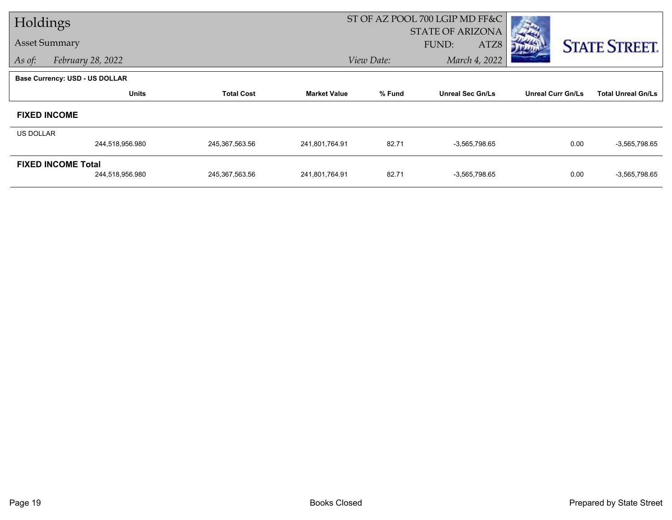| Holdings             |                                       |                   |                     | ST OF AZ POOL 700 LGIP MD FF&C |                         |                          |                           |
|----------------------|---------------------------------------|-------------------|---------------------|--------------------------------|-------------------------|--------------------------|---------------------------|
|                      |                                       |                   |                     | <b>STATE OF ARIZONA</b>        |                         |                          |                           |
| <b>Asset Summary</b> |                                       |                   |                     | FUND:<br>ATZ8                  |                         | <b>STATE STREET.</b>     |                           |
| As of:               | February 28, 2022                     |                   |                     | March 4, 2022<br>View Date:    |                         |                          |                           |
|                      | <b>Base Currency: USD - US DOLLAR</b> |                   |                     |                                |                         |                          |                           |
|                      | <b>Units</b>                          | <b>Total Cost</b> | <b>Market Value</b> | % Fund                         | <b>Unreal Sec Gn/Ls</b> | <b>Unreal Curr Gn/Ls</b> | <b>Total Unreal Gn/Ls</b> |
|                      | <b>FIXED INCOME</b>                   |                   |                     |                                |                         |                          |                           |
| <b>US DOLLAR</b>     |                                       |                   |                     |                                |                         |                          |                           |
|                      | 244,518,956.980                       | 245,367,563.56    | 241,801,764.91      | 82.71                          | $-3,565,798.65$         | 0.00                     | $-3,565,798.65$           |
|                      | <b>FIXED INCOME Total</b>             |                   |                     |                                |                         |                          |                           |
|                      | 244,518,956.980                       | 245,367,563.56    | 241,801,764.91      | 82.71                          | $-3,565,798.65$         | 0.00                     | $-3,565,798.65$           |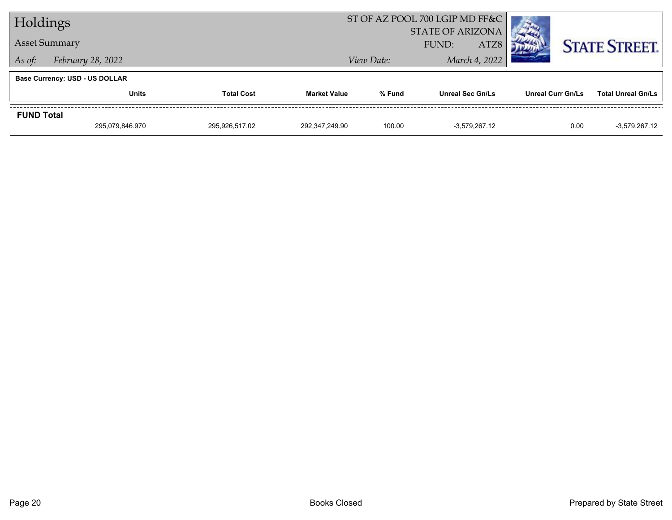| Holdings                    |                                       |                   |                     | ST OF AZ POOL 700 LGIP MD FF&C           |                         |                      |                           |
|-----------------------------|---------------------------------------|-------------------|---------------------|------------------------------------------|-------------------------|----------------------|---------------------------|
|                             |                                       |                   |                     | <b>STATE OF ARIZONA</b><br>ATZ8<br>FUND: |                         |                      |                           |
| <b>Asset Summary</b>        |                                       |                   |                     |                                          |                         | <b>STATE STREET.</b> |                           |
| February 28, 2022<br>As of: |                                       |                   |                     | View Date:                               | March 4, 2022           |                      |                           |
|                             | <b>Base Currency: USD - US DOLLAR</b> |                   |                     |                                          |                         |                      |                           |
|                             | <b>Units</b>                          | <b>Total Cost</b> | <b>Market Value</b> | % Fund                                   | <b>Unreal Sec Gn/Ls</b> | Unreal Curr Gn/Ls    | <b>Total Unreal Gn/Ls</b> |
| <b>FUND Total</b>           |                                       |                   |                     |                                          |                         |                      |                           |
|                             | 295,079,846.970                       | 295,926,517.02    | 292,347,249.90      | 100.00                                   | $-3.579.267.12$         | 0.00                 | $-3,579,267.12$           |